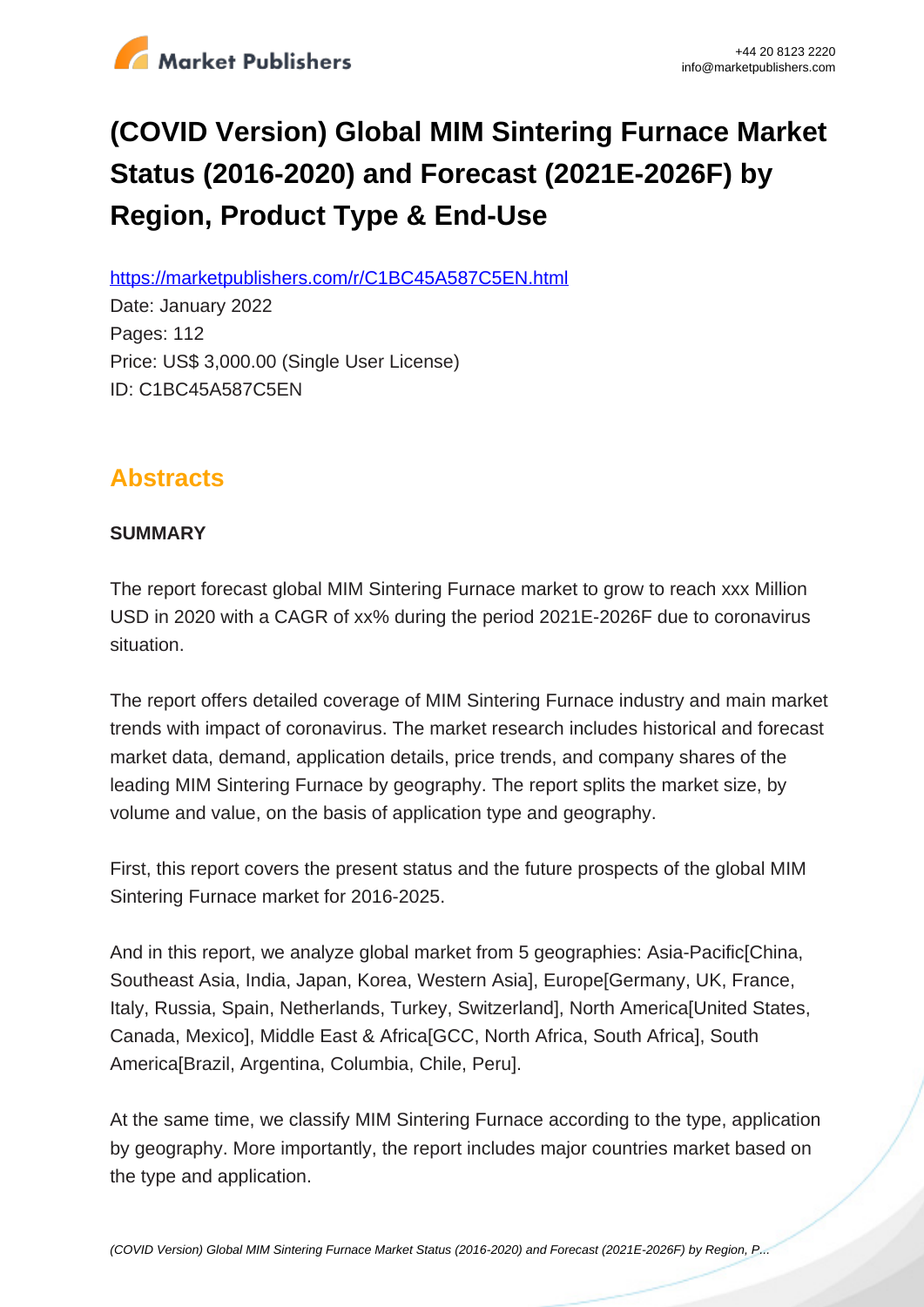

# **(COVID Version) Global MIM Sintering Furnace Market Status (2016-2020) and Forecast (2021E-2026F) by Region, Product Type & End-Use**

https://marketpublishers.com/r/C1BC45A587C5EN.html

Date: January 2022 Pages: 112 Price: US\$ 3,000.00 (Single User License) ID: C1BC45A587C5EN

## **Abstracts**

## **SUMMARY**

The report forecast global MIM Sintering Furnace market to grow to reach xxx Million USD in 2020 with a CAGR of xx% during the period 2021E-2026F due to coronavirus situation.

The report offers detailed coverage of MIM Sintering Furnace industry and main market trends with impact of coronavirus. The market research includes historical and forecast market data, demand, application details, price trends, and company shares of the leading MIM Sintering Furnace by geography. The report splits the market size, by volume and value, on the basis of application type and geography.

First, this report covers the present status and the future prospects of the global MIM Sintering Furnace market for 2016-2025.

And in this report, we analyze global market from 5 geographies: Asia-Pacific[China, Southeast Asia, India, Japan, Korea, Western Asia], Europe[Germany, UK, France, Italy, Russia, Spain, Netherlands, Turkey, Switzerland], North America[United States, Canada, Mexico], Middle East & Africa[GCC, North Africa, South Africa], South America[Brazil, Argentina, Columbia, Chile, Peru].

At the same time, we classify MIM Sintering Furnace according to the type, application by geography. More importantly, the report includes major countries market based on the type and application.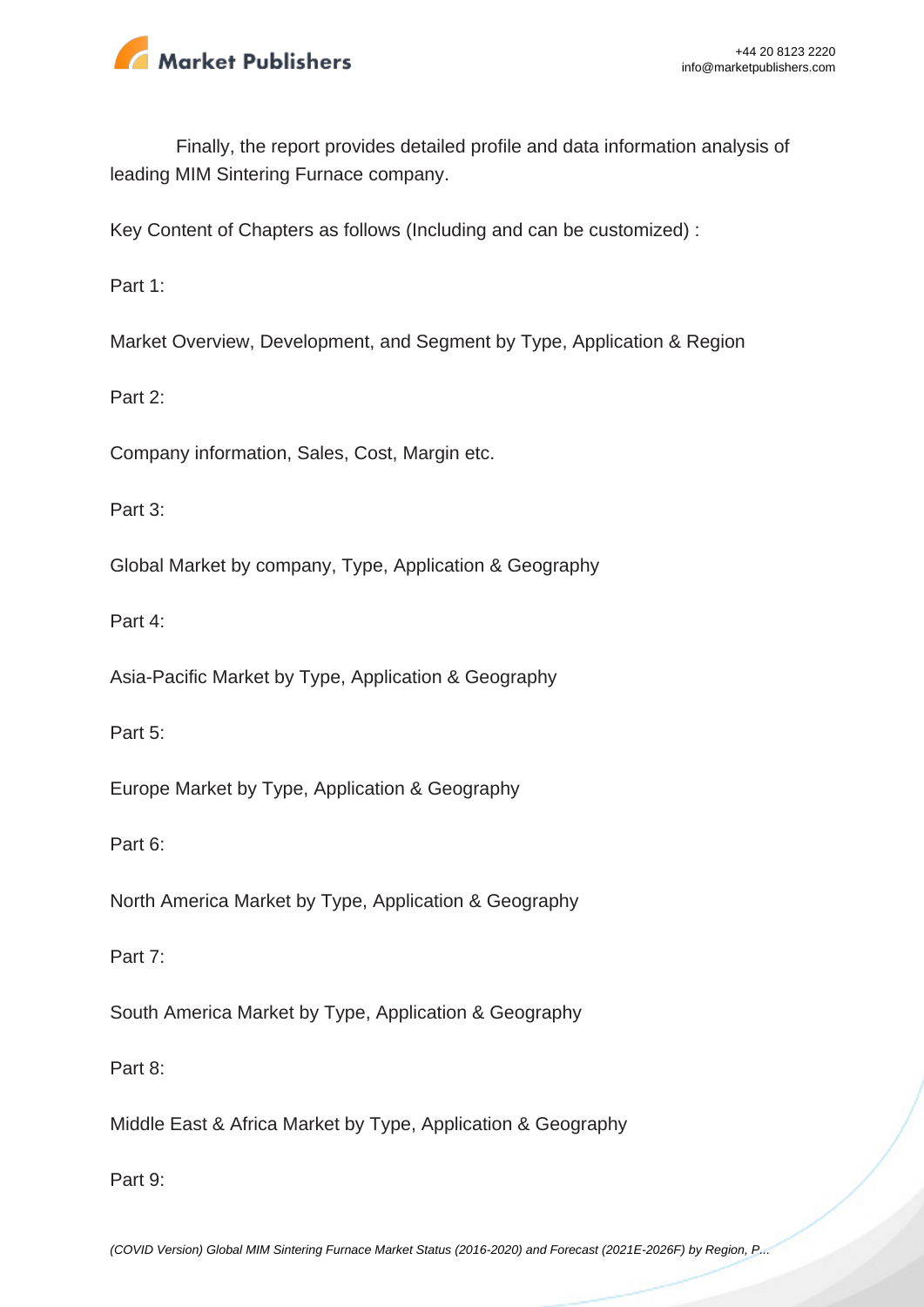

Finally, the report provides detailed profile and data information analysis of leading MIM Sintering Furnace company.

Key Content of Chapters as follows (Including and can be customized) :

Part 1:

Market Overview, Development, and Segment by Type, Application & Region

Part 2:

Company information, Sales, Cost, Margin etc.

Part 3:

Global Market by company, Type, Application & Geography

Part 4:

Asia-Pacific Market by Type, Application & Geography

Part 5:

Europe Market by Type, Application & Geography

Part 6:

North America Market by Type, Application & Geography

Part 7:

South America Market by Type, Application & Geography

Part 8:

Middle East & Africa Market by Type, Application & Geography

Part 9:

[\(COVID Version\) Global MIM Sintering Furnace Market Status \(2016-2020\) and Forecast \(2021E-2026F\) by Region, P...](https://marketpublishers.com/report/industry/other_industries/covid-version-global-mim-sintering-furnace-market-status-2016-2020-n-forecast-2021e-2026f-by-region-product-type-end-use.html)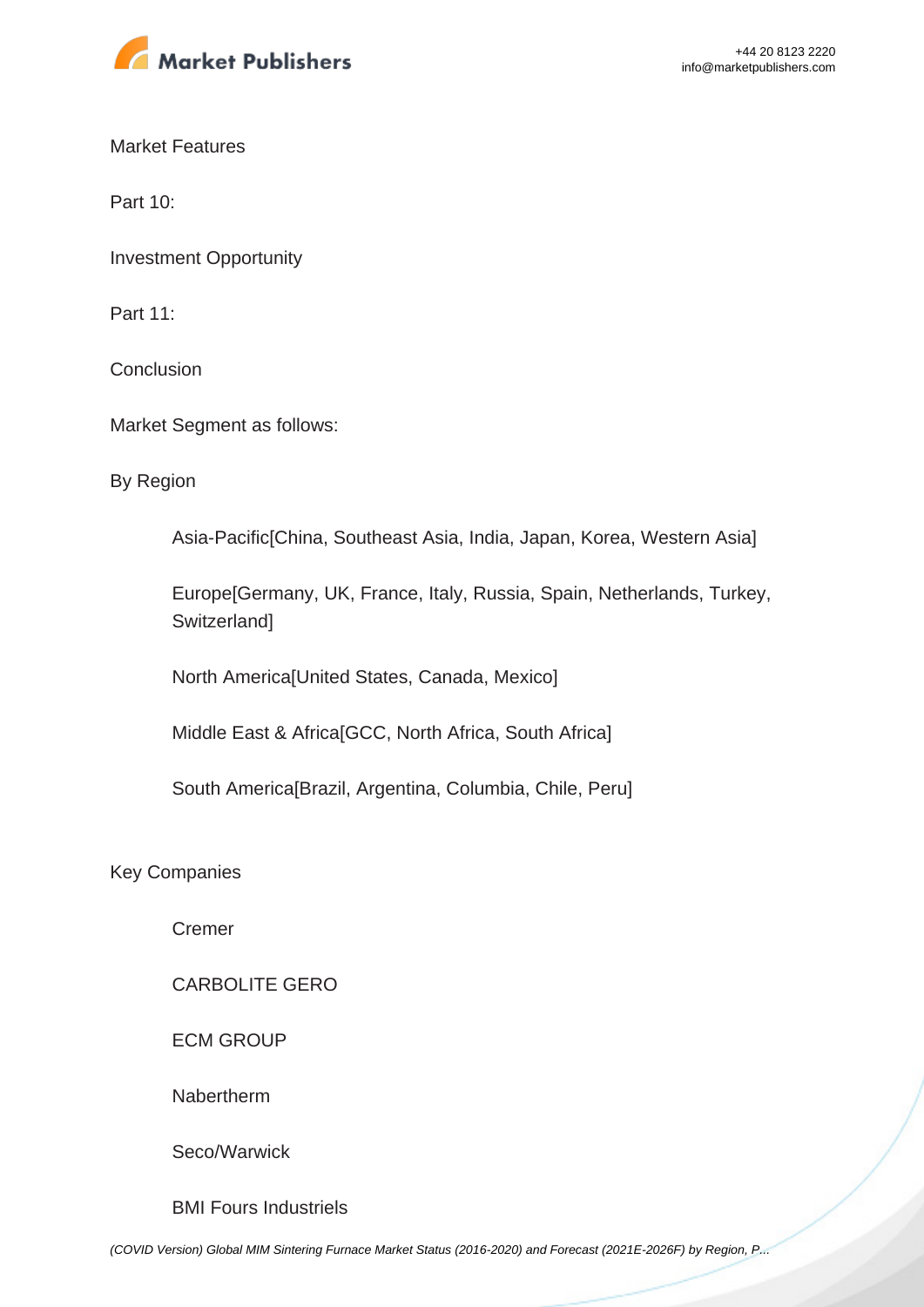

Market Features

Part 10:

Investment Opportunity

Part 11:

**Conclusion** 

Market Segment as follows:

By Region

Asia-Pacific[China, Southeast Asia, India, Japan, Korea, Western Asia]

Europe[Germany, UK, France, Italy, Russia, Spain, Netherlands, Turkey, **Switzerland1** 

North America[United States, Canada, Mexico]

Middle East & Africa[GCC, North Africa, South Africa]

South America[Brazil, Argentina, Columbia, Chile, Peru]

Key Companies

Cremer

CARBOLITE GERO

ECM GROUP

Nabertherm

Seco/Warwick

BMI Fours Industriels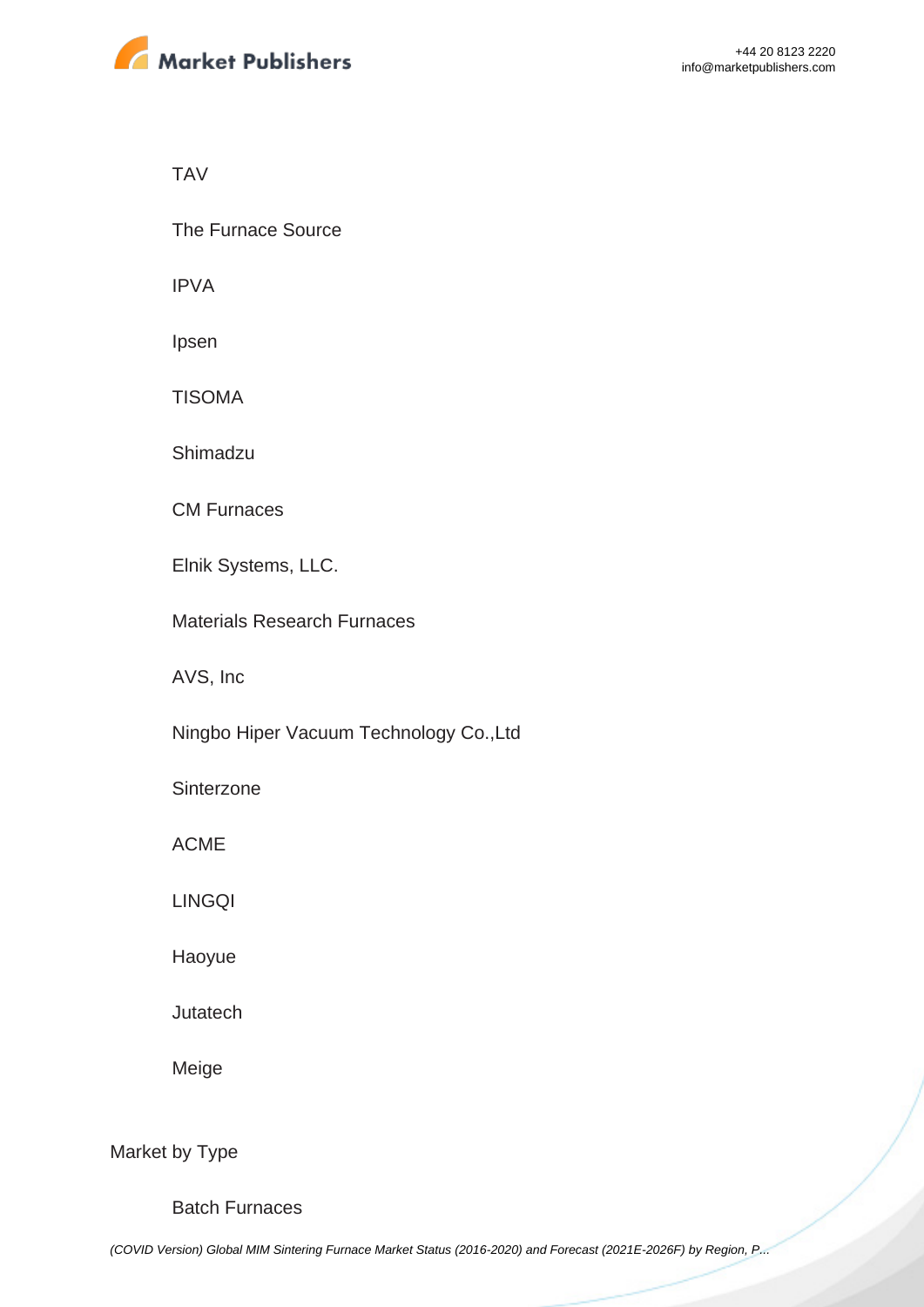

TAV

The Furnace Source

IPVA

Ipsen

TISOMA

Shimadzu

CM Furnaces

Elnik Systems, LLC.

Materials Research Furnaces

AVS, Inc

Ningbo Hiper Vacuum Technology Co.,Ltd

**Sinterzone** 

ACME

LINGQI

Haoyue

Jutatech

Meige

Market by Type

Batch Furnaces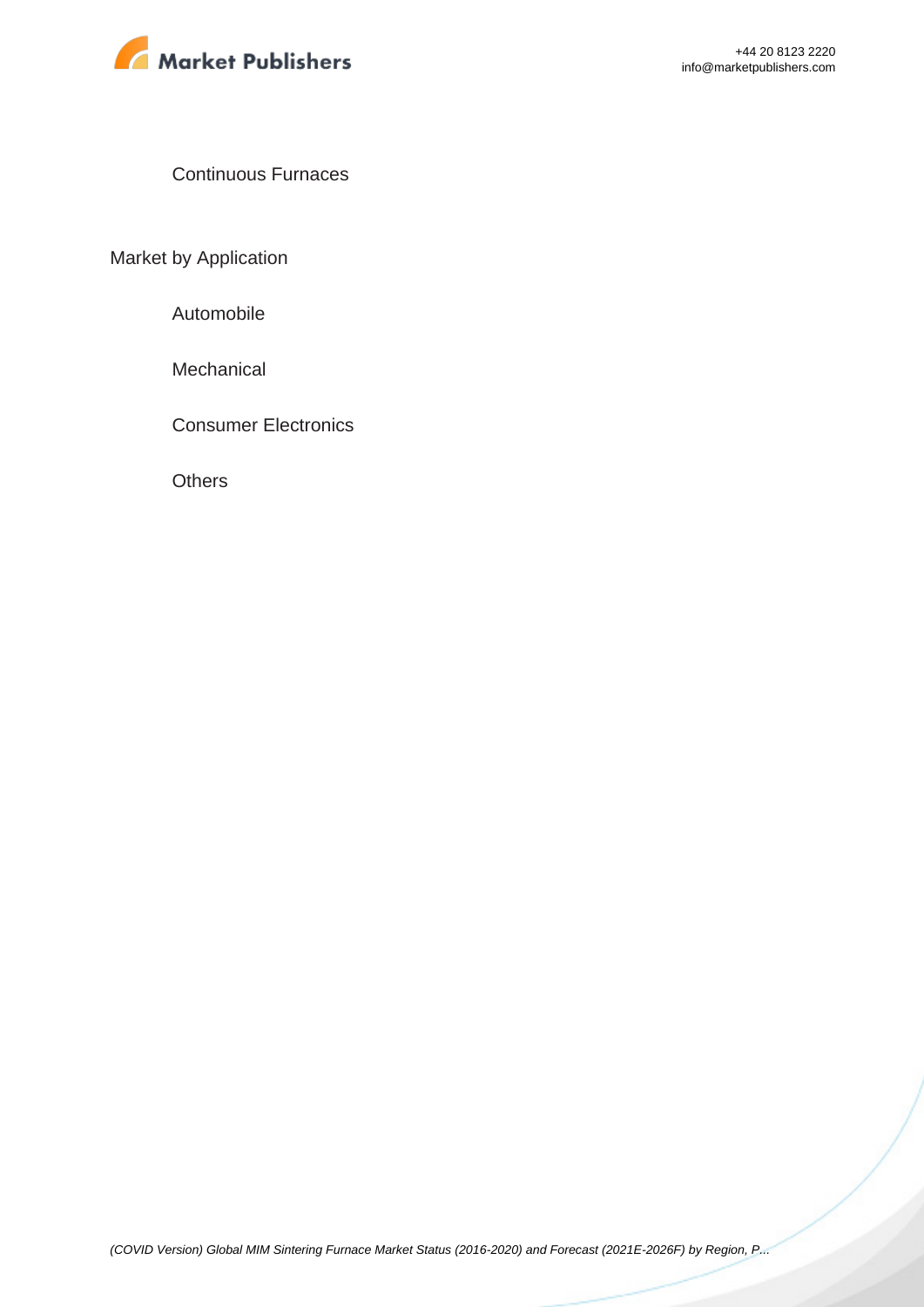

Continuous Furnaces

Market by Application

Automobile

**Mechanical** 

Consumer Electronics

**Others**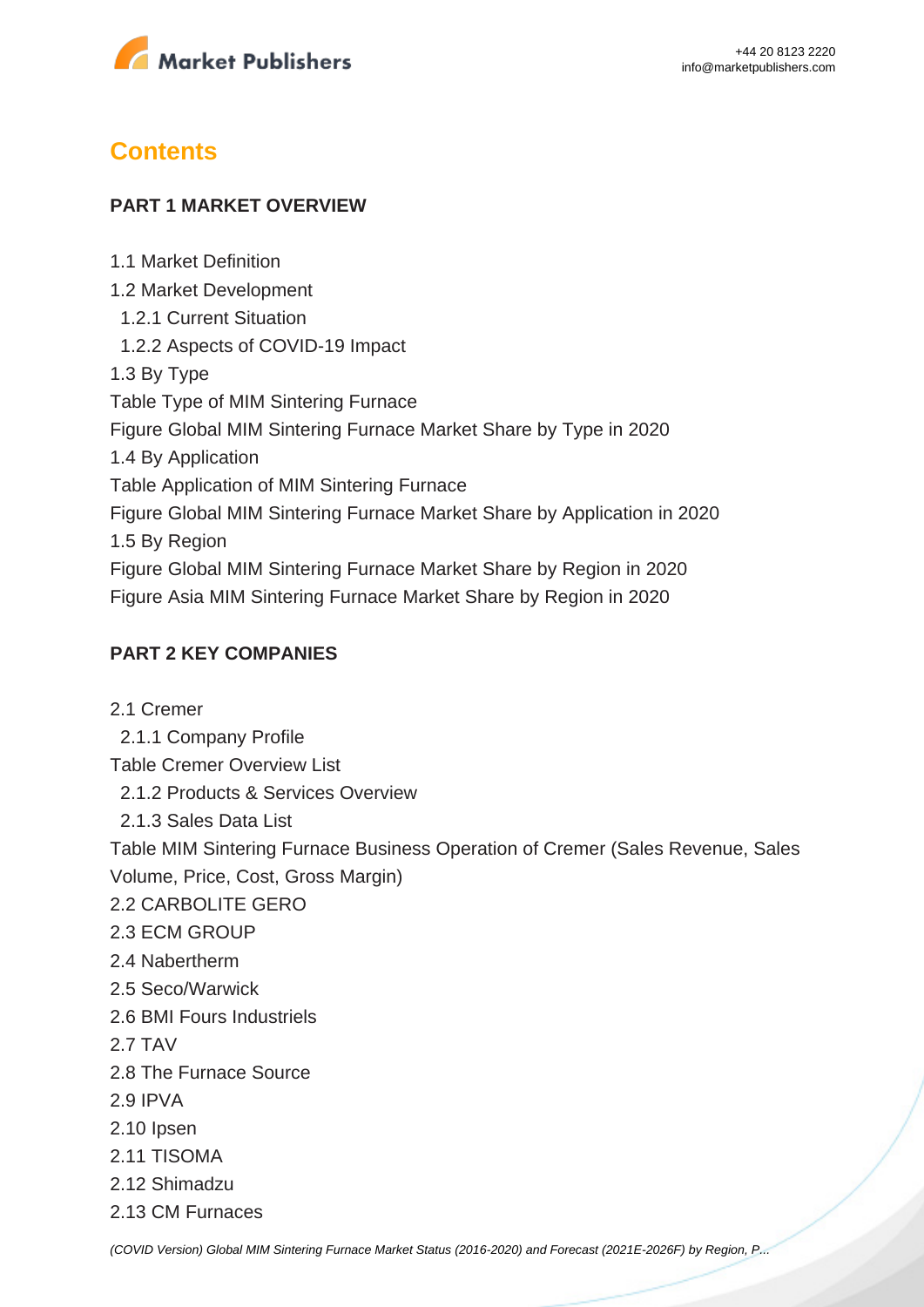

## **Contents**

1.1 Market Definition

### **PART 1 MARKET OVERVIEW**

1.2 Market Development 1.2.1 Current Situation 1.2.2 Aspects of COVID-19 Impact 1.3 By Type Table Type of MIM Sintering Furnace Figure Global MIM Sintering Furnace Market Share by Type in 2020 1.4 By Application Table Application of MIM Sintering Furnace Figure Global MIM Sintering Furnace Market Share by Application in 2020 1.5 By Region Figure Global MIM Sintering Furnace Market Share by Region in 2020 Figure Asia MIM Sintering Furnace Market Share by Region in 2020

## **PART 2 KEY COMPANIES**

2.1 Cremer 2.1.1 Company Profile Table Cremer Overview List 2.1.2 Products & Services Overview 2.1.3 Sales Data List Table MIM Sintering Furnace Business Operation of Cremer (Sales Revenue, Sales Volume, Price, Cost, Gross Margin) 2.2 CARBOLITE GERO 2.3 ECM GROUP 2.4 Nabertherm 2.5 Seco/Warwick 2.6 BMI Fours Industriels 2.7 TAV 2.8 The Furnace Source 2.9 IPVA 2.10 Ipsen 2.11 TISOMA 2.12 Shimadzu 2.13 CM Furnaces

[\(COVID Version\) Global MIM Sintering Furnace Market Status \(2016-2020\) and Forecast \(2021E-2026F\) by Region, P...](https://marketpublishers.com/report/industry/other_industries/covid-version-global-mim-sintering-furnace-market-status-2016-2020-n-forecast-2021e-2026f-by-region-product-type-end-use.html)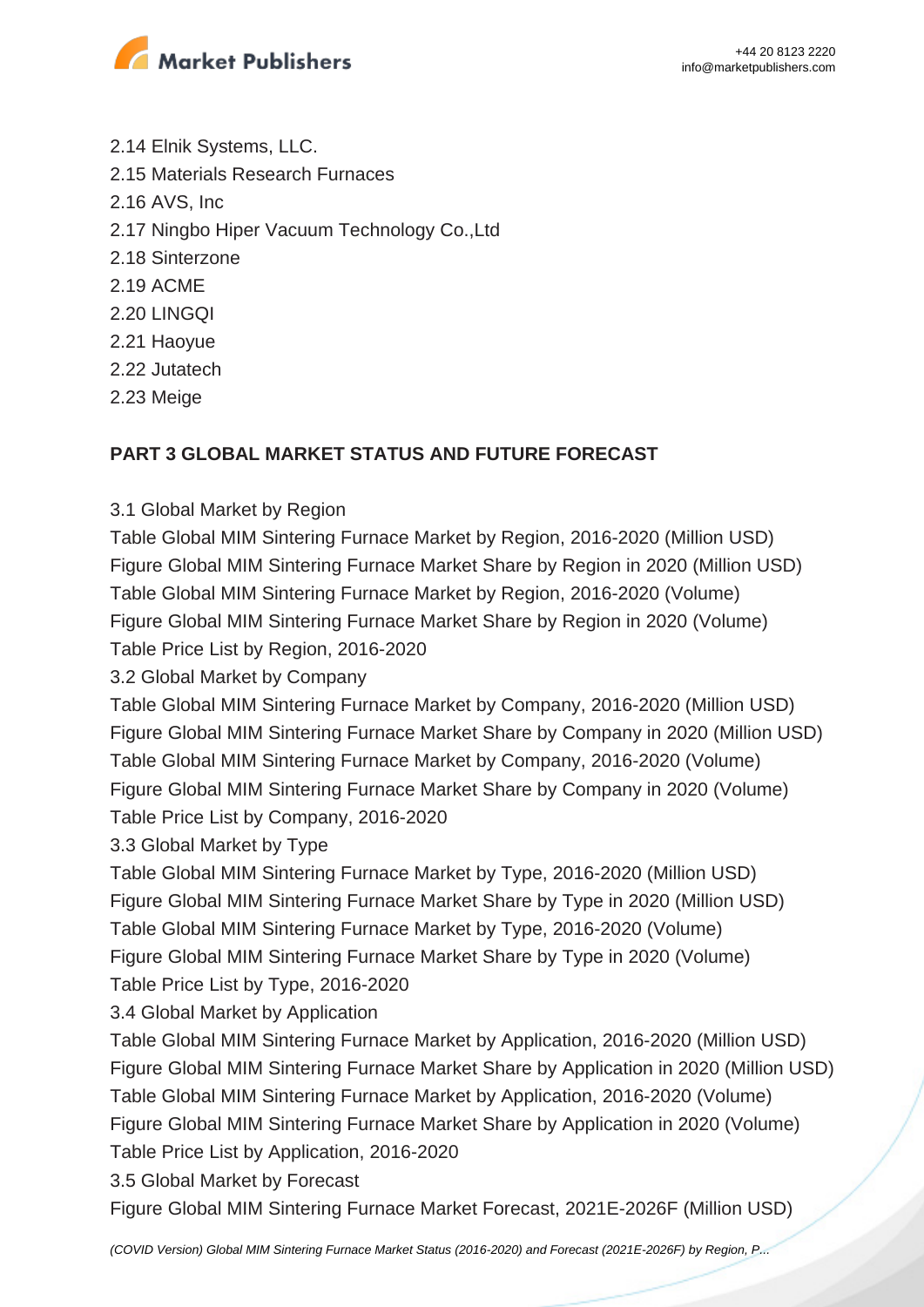

- 2.14 Elnik Systems, LLC. 2.15 Materials Research Furnaces 2.16 AVS, Inc 2.17 Ningbo Hiper Vacuum Technology Co.,Ltd 2.18 Sinterzone 2.19 ACME 2.20 LINGQI 2.21 Haoyue 2.22 Jutatech 2.23 Meige
- 

### **PART 3 GLOBAL MARKET STATUS AND FUTURE FORECAST**

#### 3.1 Global Market by Region

Table Global MIM Sintering Furnace Market by Region, 2016-2020 (Million USD) Figure Global MIM Sintering Furnace Market Share by Region in 2020 (Million USD) Table Global MIM Sintering Furnace Market by Region, 2016-2020 (Volume) Figure Global MIM Sintering Furnace Market Share by Region in 2020 (Volume) Table Price List by Region, 2016-2020

3.2 Global Market by Company

Table Global MIM Sintering Furnace Market by Company, 2016-2020 (Million USD) Figure Global MIM Sintering Furnace Market Share by Company in 2020 (Million USD) Table Global MIM Sintering Furnace Market by Company, 2016-2020 (Volume) Figure Global MIM Sintering Furnace Market Share by Company in 2020 (Volume) Table Price List by Company, 2016-2020

3.3 Global Market by Type

Table Global MIM Sintering Furnace Market by Type, 2016-2020 (Million USD) Figure Global MIM Sintering Furnace Market Share by Type in 2020 (Million USD) Table Global MIM Sintering Furnace Market by Type, 2016-2020 (Volume) Figure Global MIM Sintering Furnace Market Share by Type in 2020 (Volume) Table Price List by Type, 2016-2020

3.4 Global Market by Application

Table Global MIM Sintering Furnace Market by Application, 2016-2020 (Million USD) Figure Global MIM Sintering Furnace Market Share by Application in 2020 (Million USD) Table Global MIM Sintering Furnace Market by Application, 2016-2020 (Volume) Figure Global MIM Sintering Furnace Market Share by Application in 2020 (Volume) Table Price List by Application, 2016-2020

3.5 Global Market by Forecast

Figure Global MIM Sintering Furnace Market Forecast, 2021E-2026F (Million USD)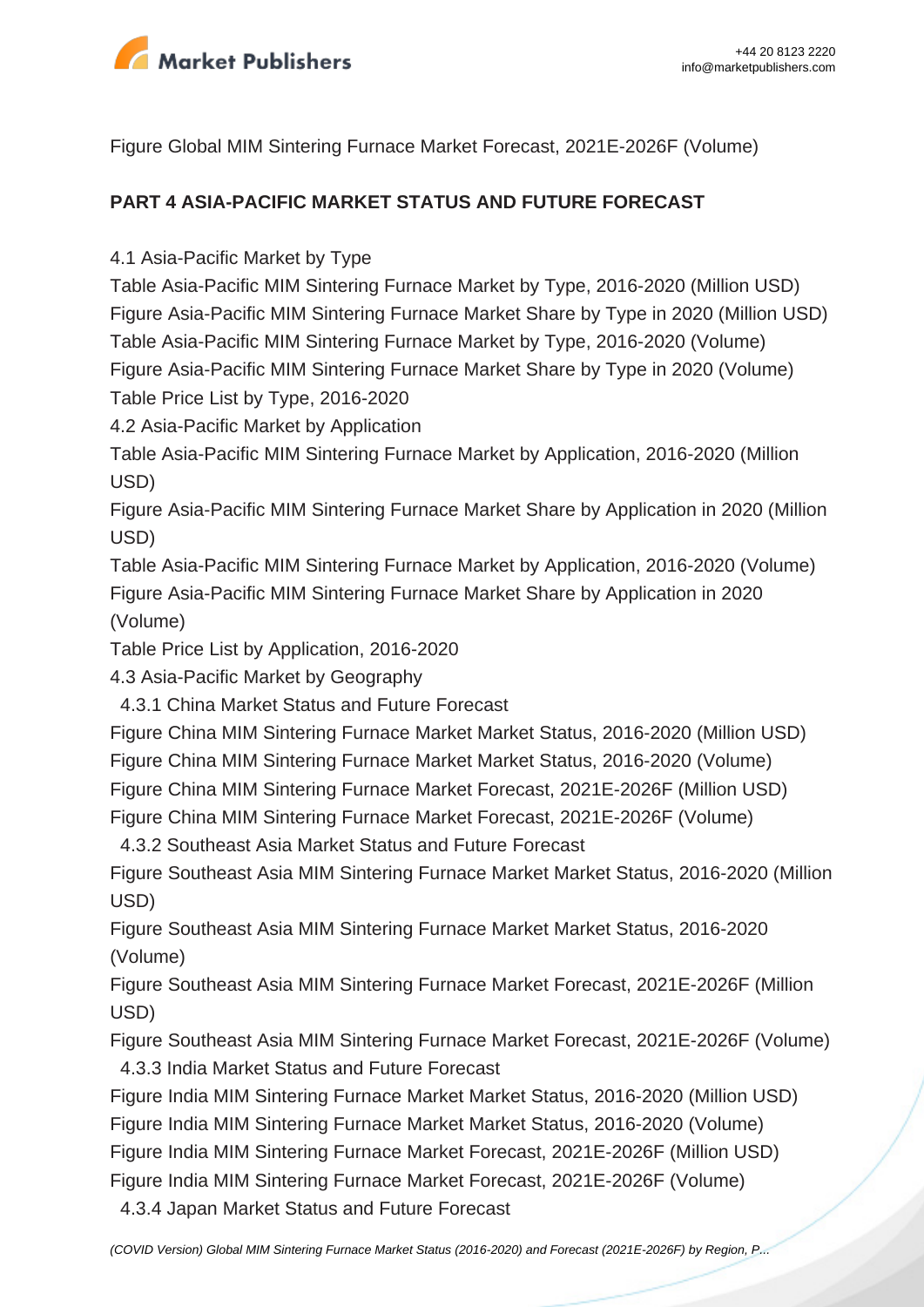

Figure Global MIM Sintering Furnace Market Forecast, 2021E-2026F (Volume)

## **PART 4 ASIA-PACIFIC MARKET STATUS AND FUTURE FORECAST**

4.1 Asia-Pacific Market by Type

Table Asia-Pacific MIM Sintering Furnace Market by Type, 2016-2020 (Million USD) Figure Asia-Pacific MIM Sintering Furnace Market Share by Type in 2020 (Million USD) Table Asia-Pacific MIM Sintering Furnace Market by Type, 2016-2020 (Volume) Figure Asia-Pacific MIM Sintering Furnace Market Share by Type in 2020 (Volume) Table Price List by Type, 2016-2020

4.2 Asia-Pacific Market by Application

Table Asia-Pacific MIM Sintering Furnace Market by Application, 2016-2020 (Million USD)

Figure Asia-Pacific MIM Sintering Furnace Market Share by Application in 2020 (Million USD)

Table Asia-Pacific MIM Sintering Furnace Market by Application, 2016-2020 (Volume) Figure Asia-Pacific MIM Sintering Furnace Market Share by Application in 2020 (Volume)

Table Price List by Application, 2016-2020

4.3 Asia-Pacific Market by Geography

4.3.1 China Market Status and Future Forecast

Figure China MIM Sintering Furnace Market Market Status, 2016-2020 (Million USD)

Figure China MIM Sintering Furnace Market Market Status, 2016-2020 (Volume)

Figure China MIM Sintering Furnace Market Forecast, 2021E-2026F (Million USD)

Figure China MIM Sintering Furnace Market Forecast, 2021E-2026F (Volume)

4.3.2 Southeast Asia Market Status and Future Forecast

Figure Southeast Asia MIM Sintering Furnace Market Market Status, 2016-2020 (Million USD)

Figure Southeast Asia MIM Sintering Furnace Market Market Status, 2016-2020 (Volume)

Figure Southeast Asia MIM Sintering Furnace Market Forecast, 2021E-2026F (Million USD)

Figure Southeast Asia MIM Sintering Furnace Market Forecast, 2021E-2026F (Volume) 4.3.3 India Market Status and Future Forecast

Figure India MIM Sintering Furnace Market Market Status, 2016-2020 (Million USD)

Figure India MIM Sintering Furnace Market Market Status, 2016-2020 (Volume)

Figure India MIM Sintering Furnace Market Forecast, 2021E-2026F (Million USD)

Figure India MIM Sintering Furnace Market Forecast, 2021E-2026F (Volume)

4.3.4 Japan Market Status and Future Forecast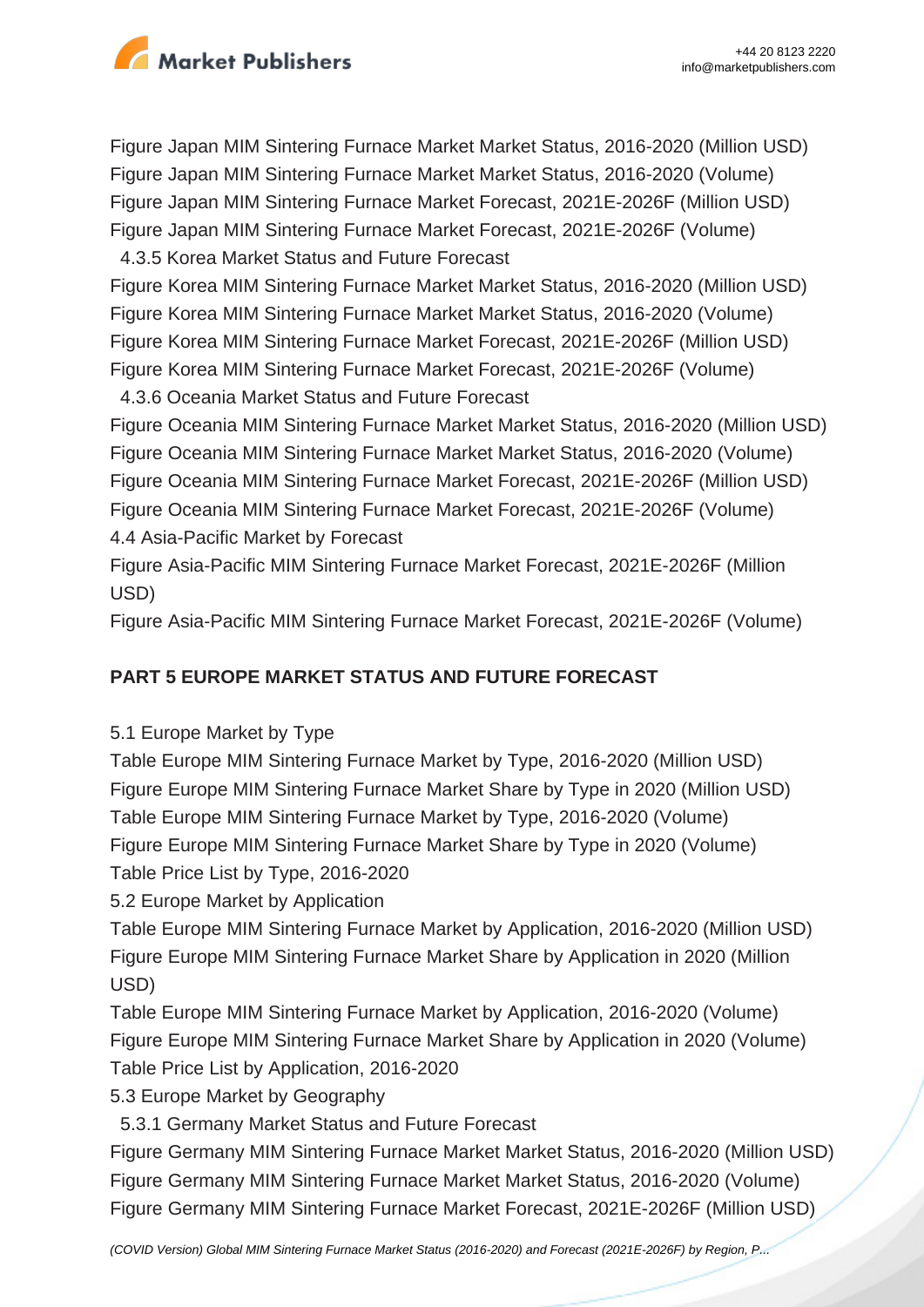

Figure Japan MIM Sintering Furnace Market Market Status, 2016-2020 (Million USD) Figure Japan MIM Sintering Furnace Market Market Status, 2016-2020 (Volume) Figure Japan MIM Sintering Furnace Market Forecast, 2021E-2026F (Million USD) Figure Japan MIM Sintering Furnace Market Forecast, 2021E-2026F (Volume)

4.3.5 Korea Market Status and Future Forecast

Figure Korea MIM Sintering Furnace Market Market Status, 2016-2020 (Million USD) Figure Korea MIM Sintering Furnace Market Market Status, 2016-2020 (Volume) Figure Korea MIM Sintering Furnace Market Forecast, 2021E-2026F (Million USD) Figure Korea MIM Sintering Furnace Market Forecast, 2021E-2026F (Volume)

4.3.6 Oceania Market Status and Future Forecast

Figure Oceania MIM Sintering Furnace Market Market Status, 2016-2020 (Million USD) Figure Oceania MIM Sintering Furnace Market Market Status, 2016-2020 (Volume) Figure Oceania MIM Sintering Furnace Market Forecast, 2021E-2026F (Million USD) Figure Oceania MIM Sintering Furnace Market Forecast, 2021E-2026F (Volume) 4.4 Asia-Pacific Market by Forecast

Figure Asia-Pacific MIM Sintering Furnace Market Forecast, 2021E-2026F (Million USD)

Figure Asia-Pacific MIM Sintering Furnace Market Forecast, 2021E-2026F (Volume)

## **PART 5 EUROPE MARKET STATUS AND FUTURE FORECAST**

5.1 Europe Market by Type

Table Europe MIM Sintering Furnace Market by Type, 2016-2020 (Million USD) Figure Europe MIM Sintering Furnace Market Share by Type in 2020 (Million USD) Table Europe MIM Sintering Furnace Market by Type, 2016-2020 (Volume) Figure Europe MIM Sintering Furnace Market Share by Type in 2020 (Volume) Table Price List by Type, 2016-2020

5.2 Europe Market by Application

Table Europe MIM Sintering Furnace Market by Application, 2016-2020 (Million USD) Figure Europe MIM Sintering Furnace Market Share by Application in 2020 (Million USD)

Table Europe MIM Sintering Furnace Market by Application, 2016-2020 (Volume) Figure Europe MIM Sintering Furnace Market Share by Application in 2020 (Volume) Table Price List by Application, 2016-2020

5.3 Europe Market by Geography

5.3.1 Germany Market Status and Future Forecast

Figure Germany MIM Sintering Furnace Market Market Status, 2016-2020 (Million USD) Figure Germany MIM Sintering Furnace Market Market Status, 2016-2020 (Volume) Figure Germany MIM Sintering Furnace Market Forecast, 2021E-2026F (Million USD)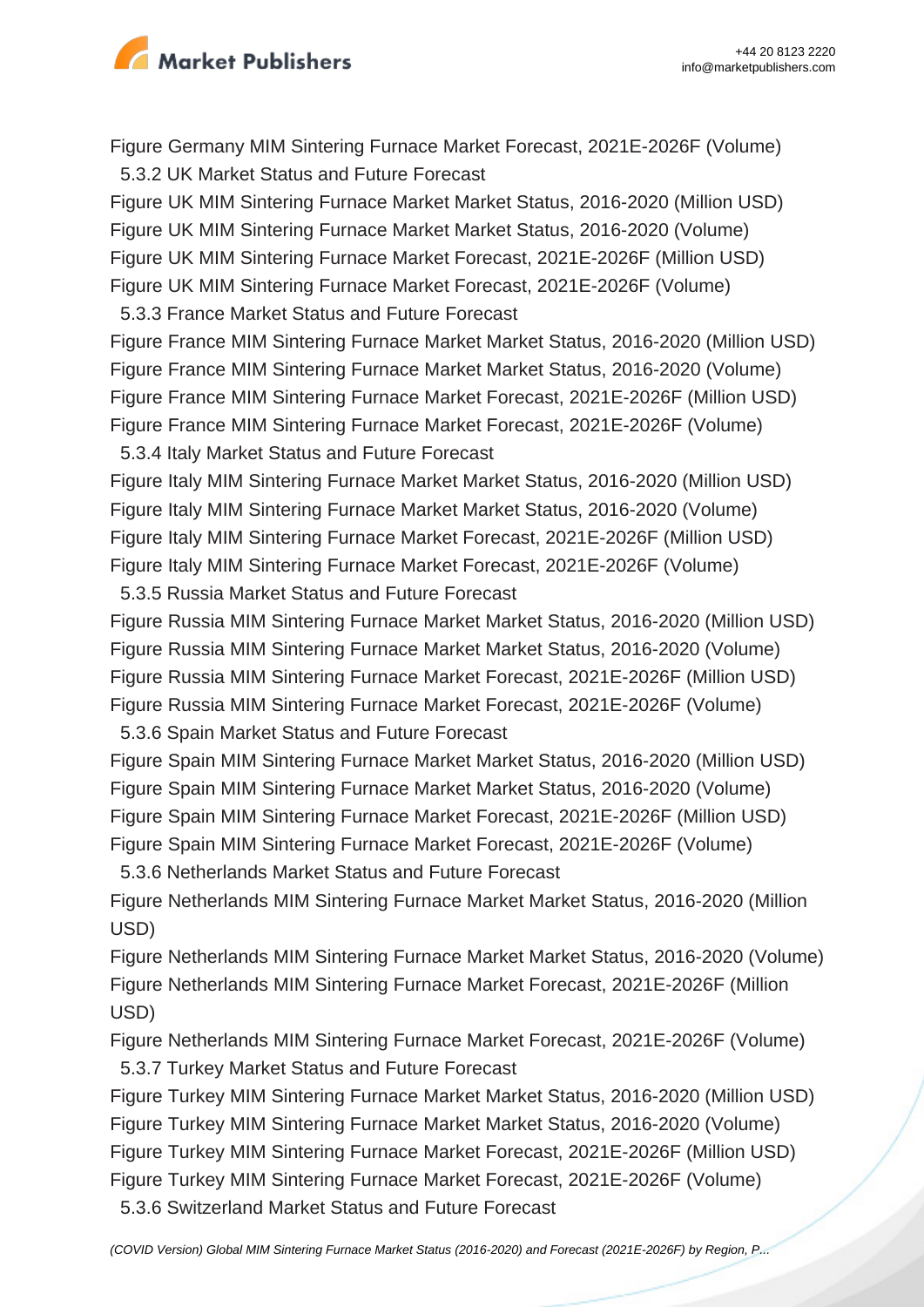

Figure Germany MIM Sintering Furnace Market Forecast, 2021E-2026F (Volume) 5.3.2 UK Market Status and Future Forecast

Figure UK MIM Sintering Furnace Market Market Status, 2016-2020 (Million USD) Figure UK MIM Sintering Furnace Market Market Status, 2016-2020 (Volume) Figure UK MIM Sintering Furnace Market Forecast, 2021E-2026F (Million USD) Figure UK MIM Sintering Furnace Market Forecast, 2021E-2026F (Volume)

5.3.3 France Market Status and Future Forecast

Figure France MIM Sintering Furnace Market Market Status, 2016-2020 (Million USD) Figure France MIM Sintering Furnace Market Market Status, 2016-2020 (Volume) Figure France MIM Sintering Furnace Market Forecast, 2021E-2026F (Million USD) Figure France MIM Sintering Furnace Market Forecast, 2021E-2026F (Volume)

5.3.4 Italy Market Status and Future Forecast

Figure Italy MIM Sintering Furnace Market Market Status, 2016-2020 (Million USD) Figure Italy MIM Sintering Furnace Market Market Status, 2016-2020 (Volume) Figure Italy MIM Sintering Furnace Market Forecast, 2021E-2026F (Million USD) Figure Italy MIM Sintering Furnace Market Forecast, 2021E-2026F (Volume)

5.3.5 Russia Market Status and Future Forecast

Figure Russia MIM Sintering Furnace Market Market Status, 2016-2020 (Million USD) Figure Russia MIM Sintering Furnace Market Market Status, 2016-2020 (Volume) Figure Russia MIM Sintering Furnace Market Forecast, 2021E-2026F (Million USD) Figure Russia MIM Sintering Furnace Market Forecast, 2021E-2026F (Volume) 5.3.6 Spain Market Status and Future Forecast

Figure Spain MIM Sintering Furnace Market Market Status, 2016-2020 (Million USD) Figure Spain MIM Sintering Furnace Market Market Status, 2016-2020 (Volume) Figure Spain MIM Sintering Furnace Market Forecast, 2021E-2026F (Million USD) Figure Spain MIM Sintering Furnace Market Forecast, 2021E-2026F (Volume)

5.3.6 Netherlands Market Status and Future Forecast

Figure Netherlands MIM Sintering Furnace Market Market Status, 2016-2020 (Million USD)

Figure Netherlands MIM Sintering Furnace Market Market Status, 2016-2020 (Volume) Figure Netherlands MIM Sintering Furnace Market Forecast, 2021E-2026F (Million USD)

Figure Netherlands MIM Sintering Furnace Market Forecast, 2021E-2026F (Volume) 5.3.7 Turkey Market Status and Future Forecast

Figure Turkey MIM Sintering Furnace Market Market Status, 2016-2020 (Million USD) Figure Turkey MIM Sintering Furnace Market Market Status, 2016-2020 (Volume) Figure Turkey MIM Sintering Furnace Market Forecast, 2021E-2026F (Million USD) Figure Turkey MIM Sintering Furnace Market Forecast, 2021E-2026F (Volume)

5.3.6 Switzerland Market Status and Future Forecast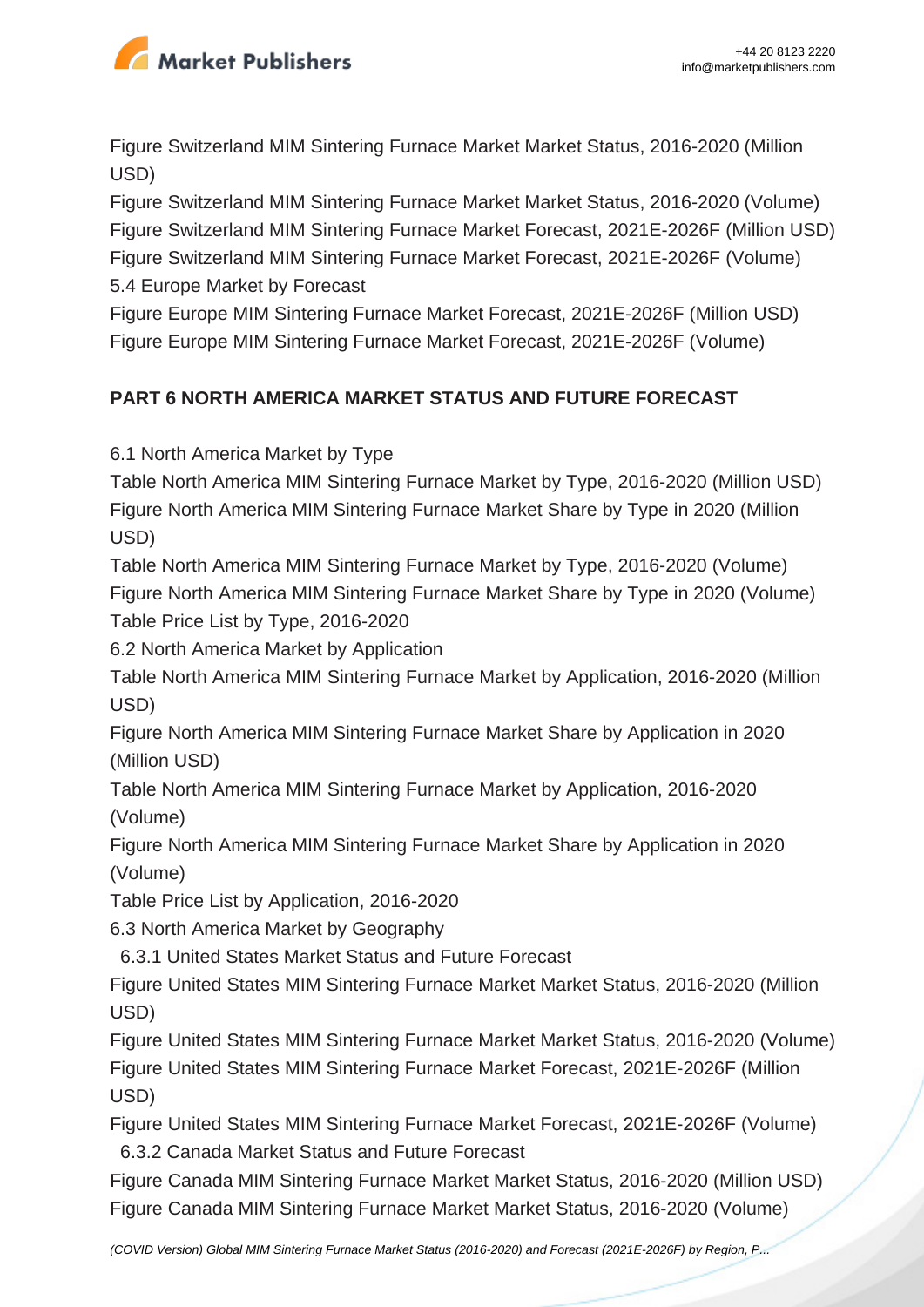

Figure Switzerland MIM Sintering Furnace Market Market Status, 2016-2020 (Million USD)

Figure Switzerland MIM Sintering Furnace Market Market Status, 2016-2020 (Volume) Figure Switzerland MIM Sintering Furnace Market Forecast, 2021E-2026F (Million USD) Figure Switzerland MIM Sintering Furnace Market Forecast, 2021E-2026F (Volume) 5.4 Europe Market by Forecast

Figure Europe MIM Sintering Furnace Market Forecast, 2021E-2026F (Million USD) Figure Europe MIM Sintering Furnace Market Forecast, 2021E-2026F (Volume)

## **PART 6 NORTH AMERICA MARKET STATUS AND FUTURE FORECAST**

6.1 North America Market by Type

Table North America MIM Sintering Furnace Market by Type, 2016-2020 (Million USD) Figure North America MIM Sintering Furnace Market Share by Type in 2020 (Million USD)

Table North America MIM Sintering Furnace Market by Type, 2016-2020 (Volume) Figure North America MIM Sintering Furnace Market Share by Type in 2020 (Volume) Table Price List by Type, 2016-2020

6.2 North America Market by Application

Table North America MIM Sintering Furnace Market by Application, 2016-2020 (Million USD)

Figure North America MIM Sintering Furnace Market Share by Application in 2020 (Million USD)

Table North America MIM Sintering Furnace Market by Application, 2016-2020 (Volume)

Figure North America MIM Sintering Furnace Market Share by Application in 2020 (Volume)

Table Price List by Application, 2016-2020

6.3 North America Market by Geography

6.3.1 United States Market Status and Future Forecast

Figure United States MIM Sintering Furnace Market Market Status, 2016-2020 (Million USD)

Figure United States MIM Sintering Furnace Market Market Status, 2016-2020 (Volume) Figure United States MIM Sintering Furnace Market Forecast, 2021E-2026F (Million USD)

Figure United States MIM Sintering Furnace Market Forecast, 2021E-2026F (Volume) 6.3.2 Canada Market Status and Future Forecast

Figure Canada MIM Sintering Furnace Market Market Status, 2016-2020 (Million USD) Figure Canada MIM Sintering Furnace Market Market Status, 2016-2020 (Volume)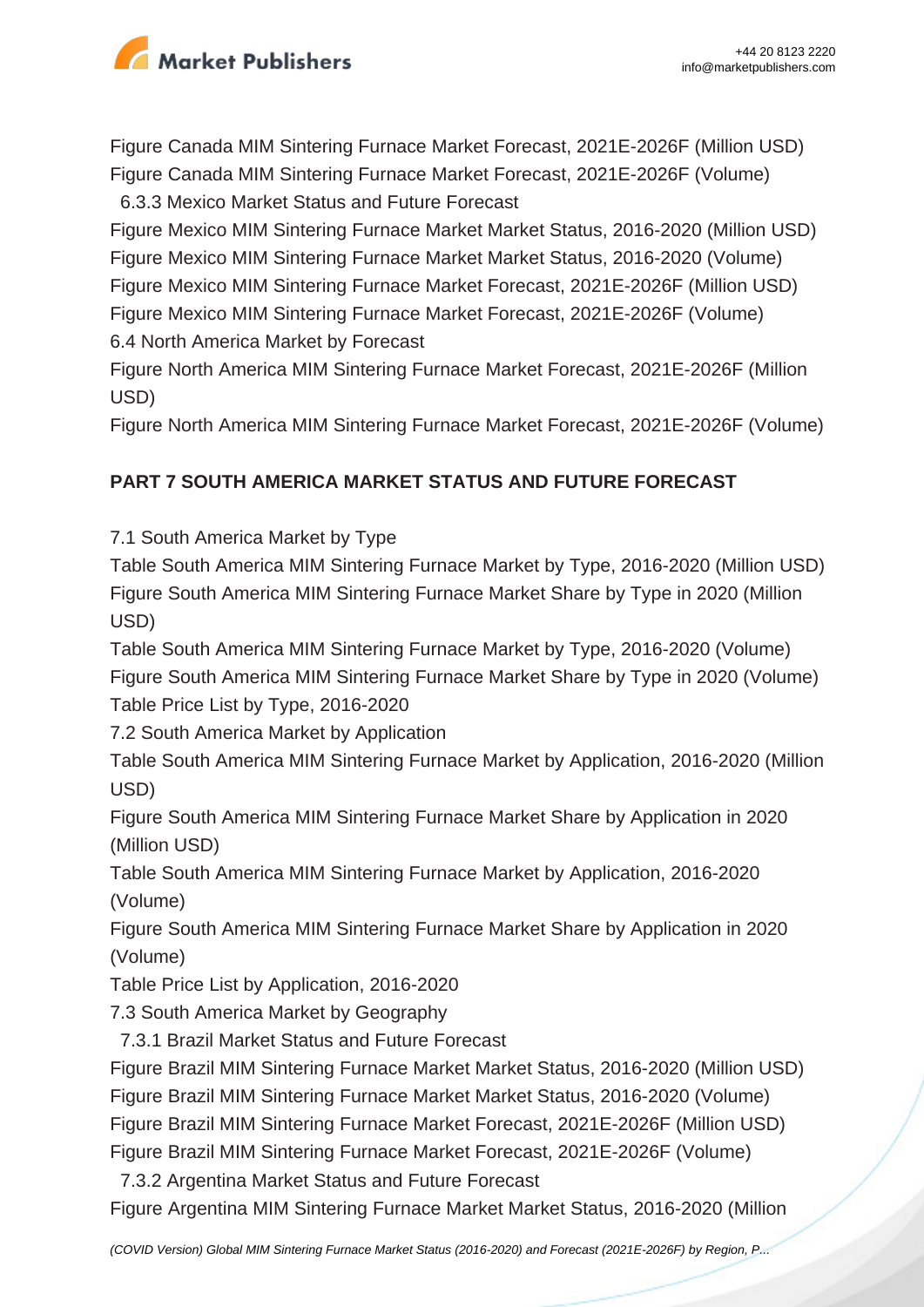

Figure Canada MIM Sintering Furnace Market Forecast, 2021E-2026F (Million USD) Figure Canada MIM Sintering Furnace Market Forecast, 2021E-2026F (Volume)

6.3.3 Mexico Market Status and Future Forecast

Figure Mexico MIM Sintering Furnace Market Market Status, 2016-2020 (Million USD) Figure Mexico MIM Sintering Furnace Market Market Status, 2016-2020 (Volume) Figure Mexico MIM Sintering Furnace Market Forecast, 2021E-2026F (Million USD) Figure Mexico MIM Sintering Furnace Market Forecast, 2021E-2026F (Volume) 6.4 North America Market by Forecast

Figure North America MIM Sintering Furnace Market Forecast, 2021E-2026F (Million USD)

Figure North America MIM Sintering Furnace Market Forecast, 2021E-2026F (Volume)

## **PART 7 SOUTH AMERICA MARKET STATUS AND FUTURE FORECAST**

7.1 South America Market by Type

Table South America MIM Sintering Furnace Market by Type, 2016-2020 (Million USD) Figure South America MIM Sintering Furnace Market Share by Type in 2020 (Million USD)

Table South America MIM Sintering Furnace Market by Type, 2016-2020 (Volume) Figure South America MIM Sintering Furnace Market Share by Type in 2020 (Volume) Table Price List by Type, 2016-2020

7.2 South America Market by Application

Table South America MIM Sintering Furnace Market by Application, 2016-2020 (Million USD)

Figure South America MIM Sintering Furnace Market Share by Application in 2020 (Million USD)

Table South America MIM Sintering Furnace Market by Application, 2016-2020 (Volume)

Figure South America MIM Sintering Furnace Market Share by Application in 2020 (Volume)

Table Price List by Application, 2016-2020

7.3 South America Market by Geography

7.3.1 Brazil Market Status and Future Forecast

Figure Brazil MIM Sintering Furnace Market Market Status, 2016-2020 (Million USD)

Figure Brazil MIM Sintering Furnace Market Market Status, 2016-2020 (Volume)

Figure Brazil MIM Sintering Furnace Market Forecast, 2021E-2026F (Million USD)

Figure Brazil MIM Sintering Furnace Market Forecast, 2021E-2026F (Volume)

7.3.2 Argentina Market Status and Future Forecast

Figure Argentina MIM Sintering Furnace Market Market Status, 2016-2020 (Million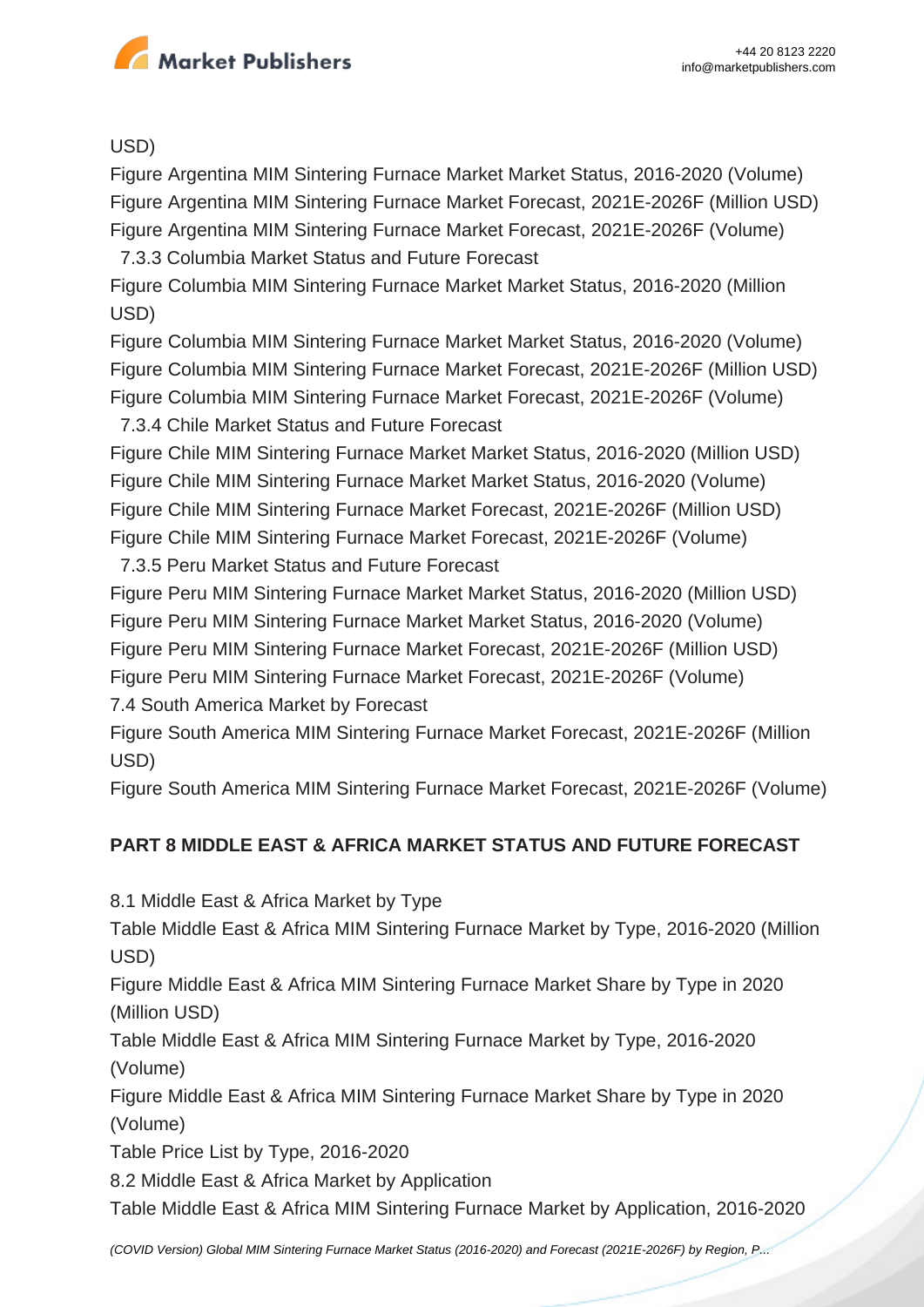

USD)

Figure Argentina MIM Sintering Furnace Market Market Status, 2016-2020 (Volume) Figure Argentina MIM Sintering Furnace Market Forecast, 2021E-2026F (Million USD) Figure Argentina MIM Sintering Furnace Market Forecast, 2021E-2026F (Volume)

7.3.3 Columbia Market Status and Future Forecast

Figure Columbia MIM Sintering Furnace Market Market Status, 2016-2020 (Million USD)

Figure Columbia MIM Sintering Furnace Market Market Status, 2016-2020 (Volume) Figure Columbia MIM Sintering Furnace Market Forecast, 2021E-2026F (Million USD) Figure Columbia MIM Sintering Furnace Market Forecast, 2021E-2026F (Volume)

7.3.4 Chile Market Status and Future Forecast

Figure Chile MIM Sintering Furnace Market Market Status, 2016-2020 (Million USD) Figure Chile MIM Sintering Furnace Market Market Status, 2016-2020 (Volume) Figure Chile MIM Sintering Furnace Market Forecast, 2021E-2026F (Million USD) Figure Chile MIM Sintering Furnace Market Forecast, 2021E-2026F (Volume)

7.3.5 Peru Market Status and Future Forecast

Figure Peru MIM Sintering Furnace Market Market Status, 2016-2020 (Million USD) Figure Peru MIM Sintering Furnace Market Market Status, 2016-2020 (Volume) Figure Peru MIM Sintering Furnace Market Forecast, 2021E-2026F (Million USD) Figure Peru MIM Sintering Furnace Market Forecast, 2021E-2026F (Volume)

7.4 South America Market by Forecast

Figure South America MIM Sintering Furnace Market Forecast, 2021E-2026F (Million USD)

Figure South America MIM Sintering Furnace Market Forecast, 2021E-2026F (Volume)

## **PART 8 MIDDLE EAST & AFRICA MARKET STATUS AND FUTURE FORECAST**

8.1 Middle East & Africa Market by Type

Table Middle East & Africa MIM Sintering Furnace Market by Type, 2016-2020 (Million USD)

Figure Middle East & Africa MIM Sintering Furnace Market Share by Type in 2020 (Million USD)

Table Middle East & Africa MIM Sintering Furnace Market by Type, 2016-2020 (Volume)

Figure Middle East & Africa MIM Sintering Furnace Market Share by Type in 2020 (Volume)

Table Price List by Type, 2016-2020

8.2 Middle East & Africa Market by Application

Table Middle East & Africa MIM Sintering Furnace Market by Application, 2016-2020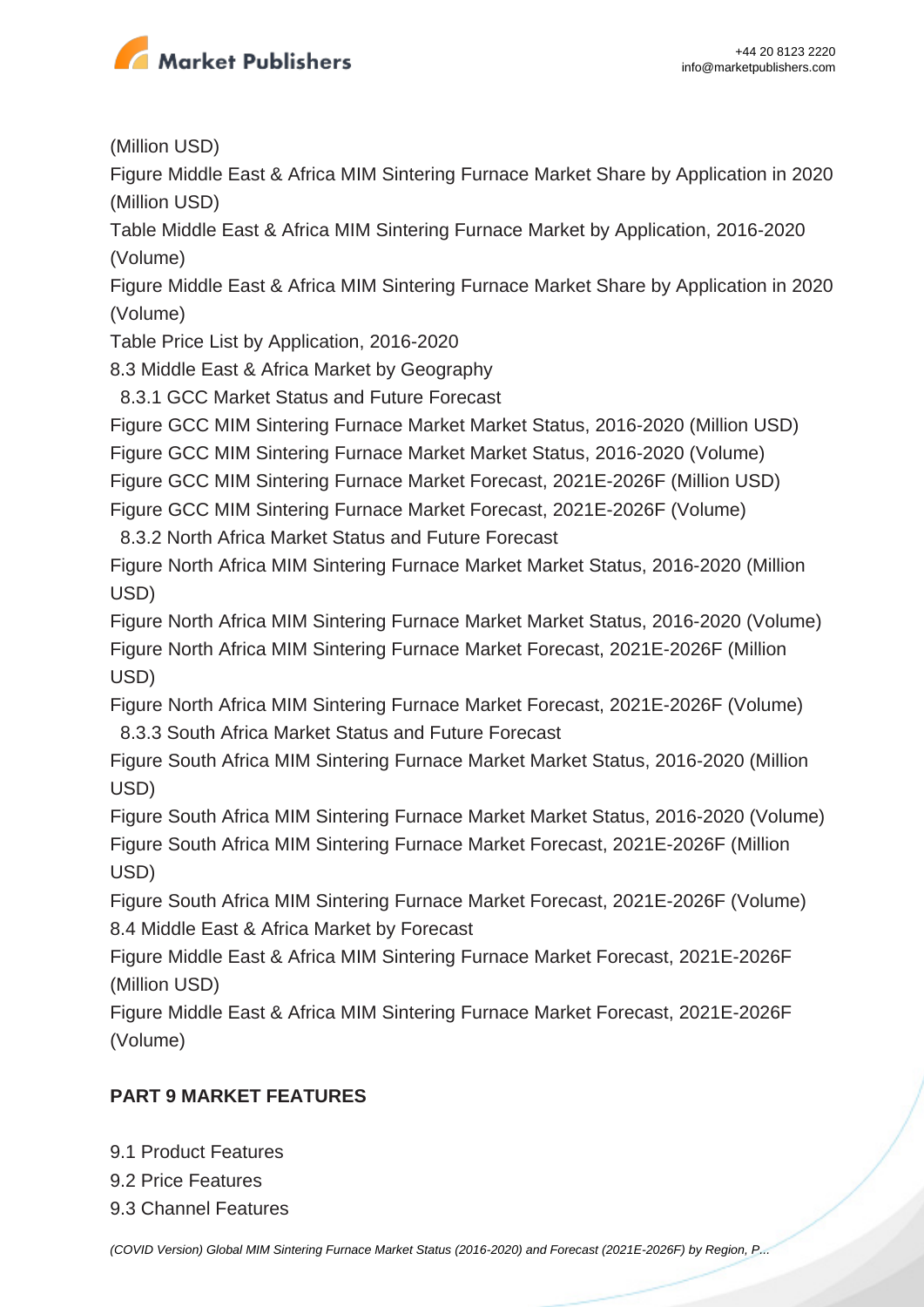

(Million USD)

Figure Middle East & Africa MIM Sintering Furnace Market Share by Application in 2020 (Million USD)

Table Middle East & Africa MIM Sintering Furnace Market by Application, 2016-2020 (Volume)

Figure Middle East & Africa MIM Sintering Furnace Market Share by Application in 2020 (Volume)

Table Price List by Application, 2016-2020

8.3 Middle East & Africa Market by Geography

8.3.1 GCC Market Status and Future Forecast

Figure GCC MIM Sintering Furnace Market Market Status, 2016-2020 (Million USD)

Figure GCC MIM Sintering Furnace Market Market Status, 2016-2020 (Volume)

Figure GCC MIM Sintering Furnace Market Forecast, 2021E-2026F (Million USD)

Figure GCC MIM Sintering Furnace Market Forecast, 2021E-2026F (Volume)

8.3.2 North Africa Market Status and Future Forecast

Figure North Africa MIM Sintering Furnace Market Market Status, 2016-2020 (Million USD)

Figure North Africa MIM Sintering Furnace Market Market Status, 2016-2020 (Volume) Figure North Africa MIM Sintering Furnace Market Forecast, 2021E-2026F (Million USD)

Figure North Africa MIM Sintering Furnace Market Forecast, 2021E-2026F (Volume) 8.3.3 South Africa Market Status and Future Forecast

Figure South Africa MIM Sintering Furnace Market Market Status, 2016-2020 (Million USD)

Figure South Africa MIM Sintering Furnace Market Market Status, 2016-2020 (Volume) Figure South Africa MIM Sintering Furnace Market Forecast, 2021E-2026F (Million USD)

Figure South Africa MIM Sintering Furnace Market Forecast, 2021E-2026F (Volume) 8.4 Middle East & Africa Market by Forecast

Figure Middle East & Africa MIM Sintering Furnace Market Forecast, 2021E-2026F (Million USD)

Figure Middle East & Africa MIM Sintering Furnace Market Forecast, 2021E-2026F (Volume)

## **PART 9 MARKET FEATURES**

9.1 Product Features

9.2 Price Features

9.3 Channel Features

[\(COVID Version\) Global MIM Sintering Furnace Market Status \(2016-2020\) and Forecast \(2021E-2026F\) by Region, P...](https://marketpublishers.com/report/industry/other_industries/covid-version-global-mim-sintering-furnace-market-status-2016-2020-n-forecast-2021e-2026f-by-region-product-type-end-use.html)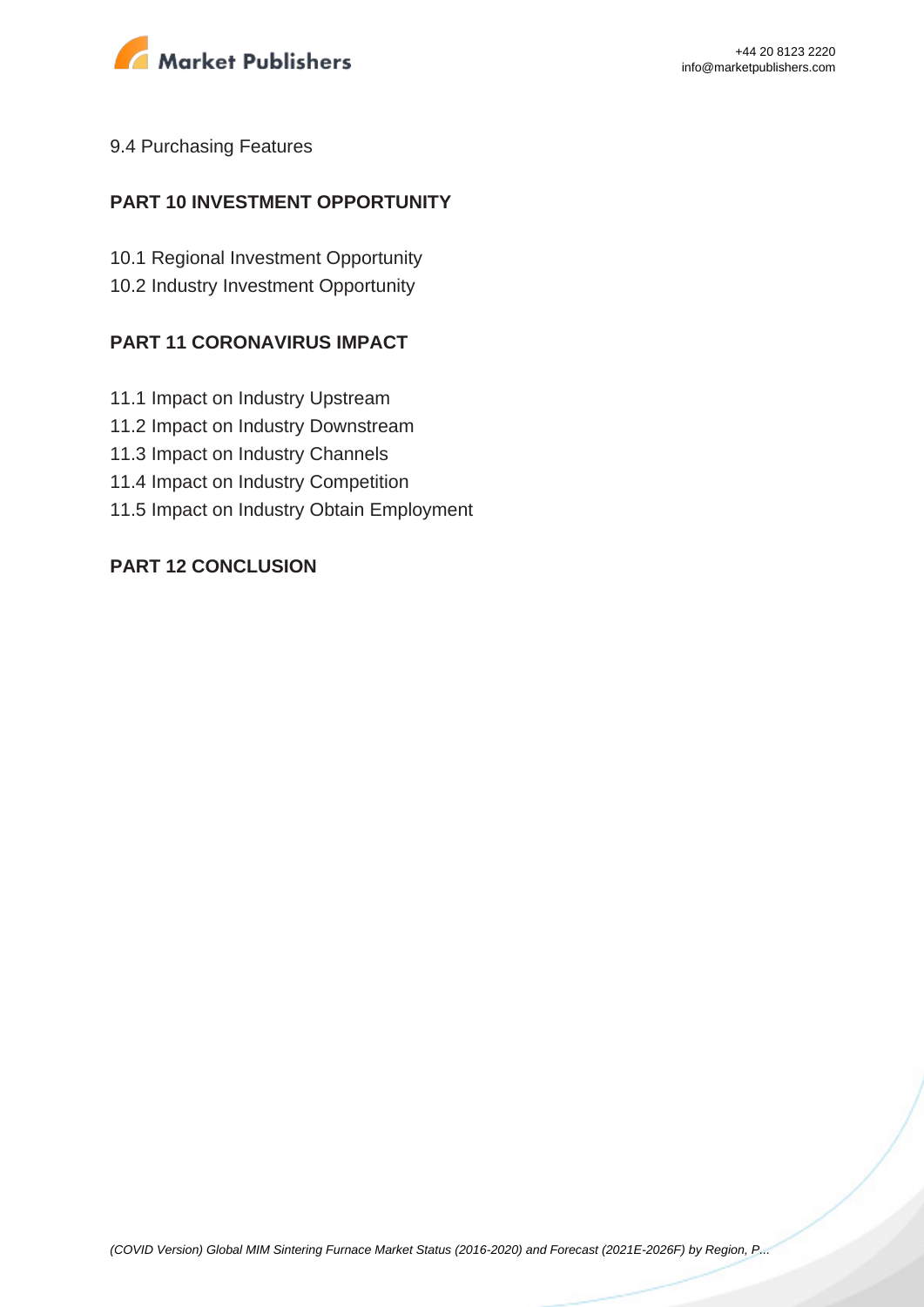

#### 9.4 Purchasing Features

### **PART 10 INVESTMENT OPPORTUNITY**

10.1 Regional Investment Opportunity 10.2 Industry Investment Opportunity

#### **PART 11 CORONAVIRUS IMPACT**

- 11.1 Impact on Industry Upstream
- 11.2 Impact on Industry Downstream
- 11.3 Impact on Industry Channels
- 11.4 Impact on Industry Competition
- 11.5 Impact on Industry Obtain Employment

#### **PART 12 CONCLUSION**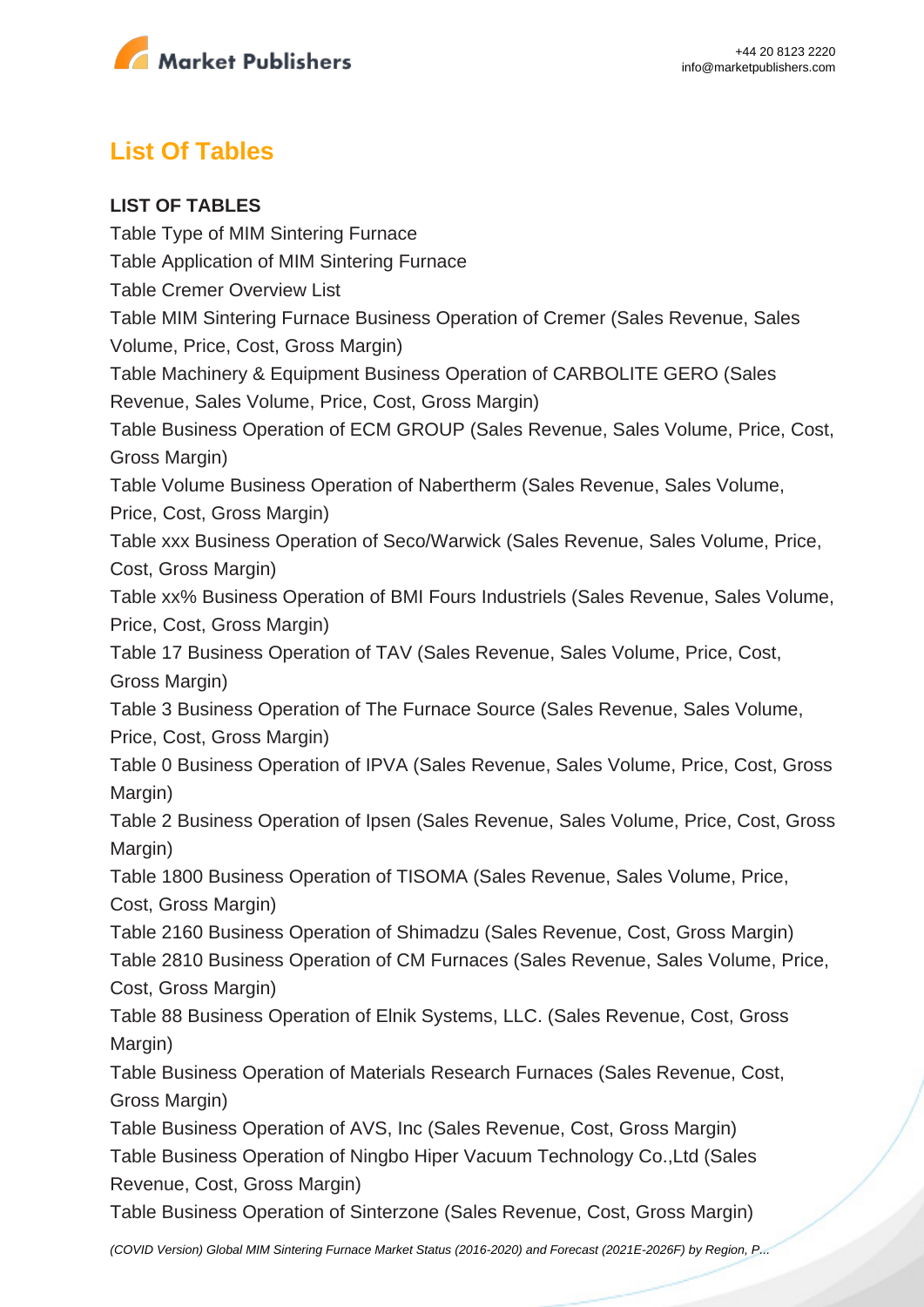

## **List Of Tables**

## **LIST OF TABLES**

Table Type of MIM Sintering Furnace Table Application of MIM Sintering Furnace Table Cremer Overview List Table MIM Sintering Furnace Business Operation of Cremer (Sales Revenue, Sales Volume, Price, Cost, Gross Margin) Table Machinery & Equipment Business Operation of CARBOLITE GERO (Sales Revenue, Sales Volume, Price, Cost, Gross Margin) Table Business Operation of ECM GROUP (Sales Revenue, Sales Volume, Price, Cost, Gross Margin) Table Volume Business Operation of Nabertherm (Sales Revenue, Sales Volume, Price, Cost, Gross Margin) Table xxx Business Operation of Seco/Warwick (Sales Revenue, Sales Volume, Price, Cost, Gross Margin) Table xx% Business Operation of BMI Fours Industriels (Sales Revenue, Sales Volume, Price, Cost, Gross Margin) Table 17 Business Operation of TAV (Sales Revenue, Sales Volume, Price, Cost, Gross Margin) Table 3 Business Operation of The Furnace Source (Sales Revenue, Sales Volume, Price, Cost, Gross Margin) Table 0 Business Operation of IPVA (Sales Revenue, Sales Volume, Price, Cost, Gross Margin) Table 2 Business Operation of Ipsen (Sales Revenue, Sales Volume, Price, Cost, Gross Margin) Table 1800 Business Operation of TISOMA (Sales Revenue, Sales Volume, Price, Cost, Gross Margin) Table 2160 Business Operation of Shimadzu (Sales Revenue, Cost, Gross Margin) Table 2810 Business Operation of CM Furnaces (Sales Revenue, Sales Volume, Price, Cost, Gross Margin) Table 88 Business Operation of Elnik Systems, LLC. (Sales Revenue, Cost, Gross Margin) Table Business Operation of Materials Research Furnaces (Sales Revenue, Cost, Gross Margin) Table Business Operation of AVS, Inc (Sales Revenue, Cost, Gross Margin) Table Business Operation of Ningbo Hiper Vacuum Technology Co.,Ltd (Sales Revenue, Cost, Gross Margin) Table Business Operation of Sinterzone (Sales Revenue, Cost, Gross Margin)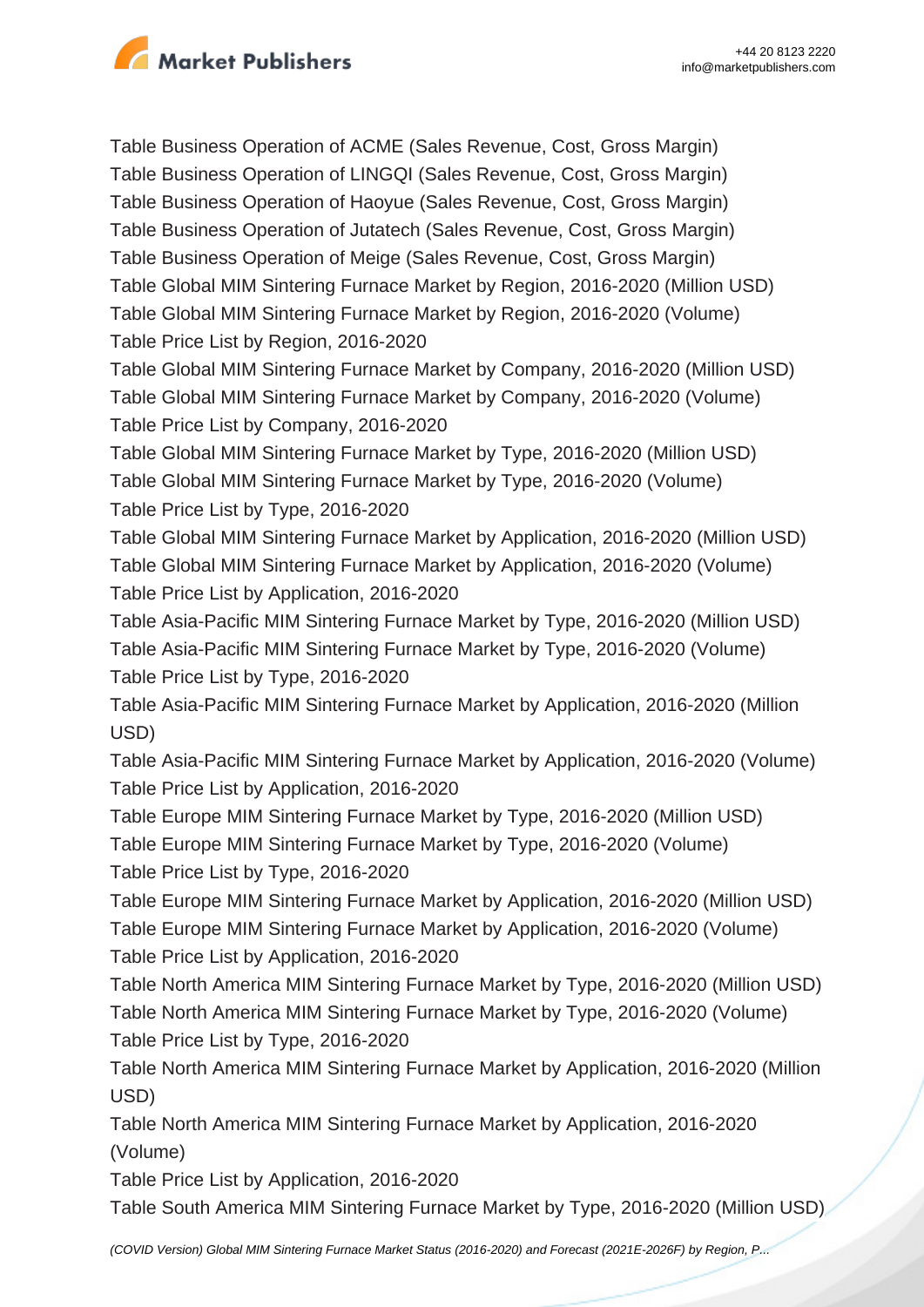

Table Business Operation of ACME (Sales Revenue, Cost, Gross Margin) Table Business Operation of LINGQI (Sales Revenue, Cost, Gross Margin) Table Business Operation of Haoyue (Sales Revenue, Cost, Gross Margin) Table Business Operation of Jutatech (Sales Revenue, Cost, Gross Margin) Table Business Operation of Meige (Sales Revenue, Cost, Gross Margin) Table Global MIM Sintering Furnace Market by Region, 2016-2020 (Million USD) Table Global MIM Sintering Furnace Market by Region, 2016-2020 (Volume) Table Price List by Region, 2016-2020 Table Global MIM Sintering Furnace Market by Company, 2016-2020 (Million USD) Table Global MIM Sintering Furnace Market by Company, 2016-2020 (Volume) Table Price List by Company, 2016-2020 Table Global MIM Sintering Furnace Market by Type, 2016-2020 (Million USD) Table Global MIM Sintering Furnace Market by Type, 2016-2020 (Volume) Table Price List by Type, 2016-2020 Table Global MIM Sintering Furnace Market by Application, 2016-2020 (Million USD) Table Global MIM Sintering Furnace Market by Application, 2016-2020 (Volume) Table Price List by Application, 2016-2020 Table Asia-Pacific MIM Sintering Furnace Market by Type, 2016-2020 (Million USD) Table Asia-Pacific MIM Sintering Furnace Market by Type, 2016-2020 (Volume) Table Price List by Type, 2016-2020 Table Asia-Pacific MIM Sintering Furnace Market by Application, 2016-2020 (Million USD) Table Asia-Pacific MIM Sintering Furnace Market by Application, 2016-2020 (Volume) Table Price List by Application, 2016-2020 Table Europe MIM Sintering Furnace Market by Type, 2016-2020 (Million USD) Table Europe MIM Sintering Furnace Market by Type, 2016-2020 (Volume) Table Price List by Type, 2016-2020 Table Europe MIM Sintering Furnace Market by Application, 2016-2020 (Million USD) Table Europe MIM Sintering Furnace Market by Application, 2016-2020 (Volume) Table Price List by Application, 2016-2020 Table North America MIM Sintering Furnace Market by Type, 2016-2020 (Million USD) Table North America MIM Sintering Furnace Market by Type, 2016-2020 (Volume) Table Price List by Type, 2016-2020 Table North America MIM Sintering Furnace Market by Application, 2016-2020 (Million USD) Table North America MIM Sintering Furnace Market by Application, 2016-2020 (Volume) Table Price List by Application, 2016-2020

Table South America MIM Sintering Furnace Market by Type, 2016-2020 (Million USD)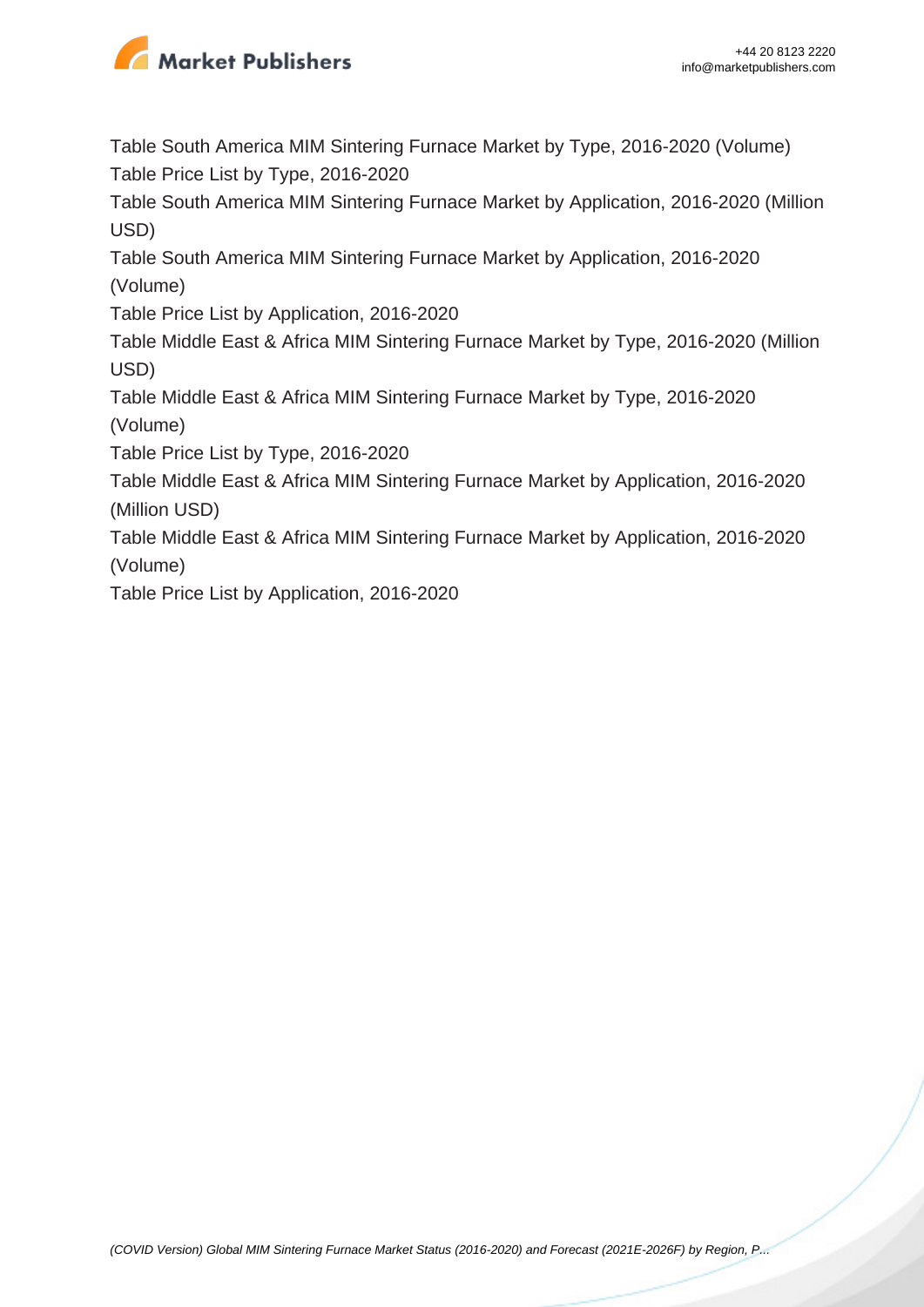

Table South America MIM Sintering Furnace Market by Type, 2016-2020 (Volume) Table Price List by Type, 2016-2020

Table South America MIM Sintering Furnace Market by Application, 2016-2020 (Million USD)

Table South America MIM Sintering Furnace Market by Application, 2016-2020 (Volume)

Table Price List by Application, 2016-2020

Table Middle East & Africa MIM Sintering Furnace Market by Type, 2016-2020 (Million USD)

Table Middle East & Africa MIM Sintering Furnace Market by Type, 2016-2020 (Volume)

Table Price List by Type, 2016-2020

Table Middle East & Africa MIM Sintering Furnace Market by Application, 2016-2020 (Million USD)

Table Middle East & Africa MIM Sintering Furnace Market by Application, 2016-2020 (Volume)

Table Price List by Application, 2016-2020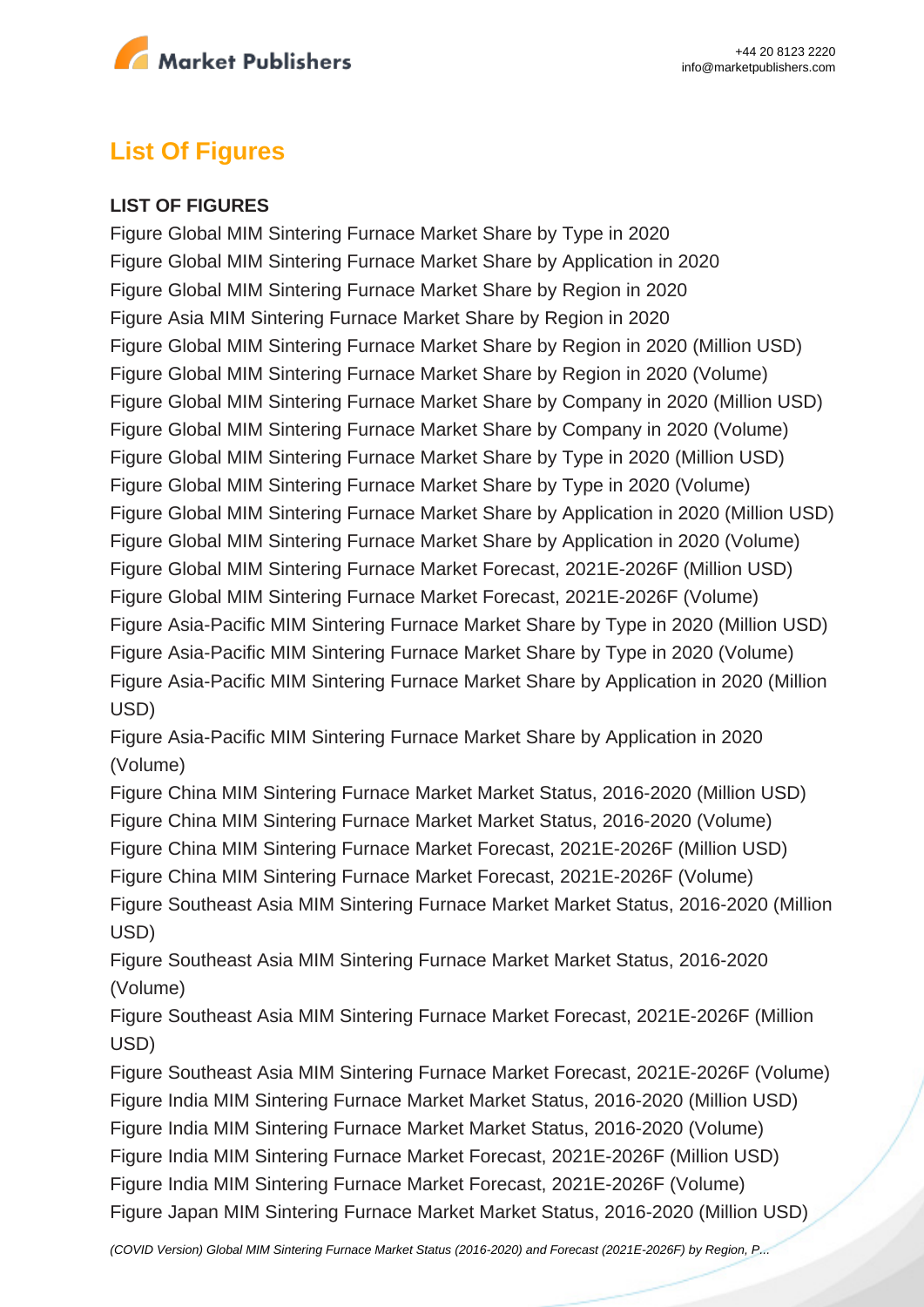

## **List Of Figures**

#### **LIST OF FIGURES**

Figure Global MIM Sintering Furnace Market Share by Type in 2020 Figure Global MIM Sintering Furnace Market Share by Application in 2020 Figure Global MIM Sintering Furnace Market Share by Region in 2020 Figure Asia MIM Sintering Furnace Market Share by Region in 2020 Figure Global MIM Sintering Furnace Market Share by Region in 2020 (Million USD) Figure Global MIM Sintering Furnace Market Share by Region in 2020 (Volume) Figure Global MIM Sintering Furnace Market Share by Company in 2020 (Million USD) Figure Global MIM Sintering Furnace Market Share by Company in 2020 (Volume) Figure Global MIM Sintering Furnace Market Share by Type in 2020 (Million USD) Figure Global MIM Sintering Furnace Market Share by Type in 2020 (Volume) Figure Global MIM Sintering Furnace Market Share by Application in 2020 (Million USD) Figure Global MIM Sintering Furnace Market Share by Application in 2020 (Volume) Figure Global MIM Sintering Furnace Market Forecast, 2021E-2026F (Million USD) Figure Global MIM Sintering Furnace Market Forecast, 2021E-2026F (Volume) Figure Asia-Pacific MIM Sintering Furnace Market Share by Type in 2020 (Million USD) Figure Asia-Pacific MIM Sintering Furnace Market Share by Type in 2020 (Volume) Figure Asia-Pacific MIM Sintering Furnace Market Share by Application in 2020 (Million USD)

Figure Asia-Pacific MIM Sintering Furnace Market Share by Application in 2020 (Volume)

Figure China MIM Sintering Furnace Market Market Status, 2016-2020 (Million USD) Figure China MIM Sintering Furnace Market Market Status, 2016-2020 (Volume) Figure China MIM Sintering Furnace Market Forecast, 2021E-2026F (Million USD) Figure China MIM Sintering Furnace Market Forecast, 2021E-2026F (Volume) Figure Southeast Asia MIM Sintering Furnace Market Market Status, 2016-2020 (Million USD)

Figure Southeast Asia MIM Sintering Furnace Market Market Status, 2016-2020 (Volume)

Figure Southeast Asia MIM Sintering Furnace Market Forecast, 2021E-2026F (Million USD)

Figure Southeast Asia MIM Sintering Furnace Market Forecast, 2021E-2026F (Volume) Figure India MIM Sintering Furnace Market Market Status, 2016-2020 (Million USD) Figure India MIM Sintering Furnace Market Market Status, 2016-2020 (Volume) Figure India MIM Sintering Furnace Market Forecast, 2021E-2026F (Million USD) Figure India MIM Sintering Furnace Market Forecast, 2021E-2026F (Volume) Figure Japan MIM Sintering Furnace Market Market Status, 2016-2020 (Million USD)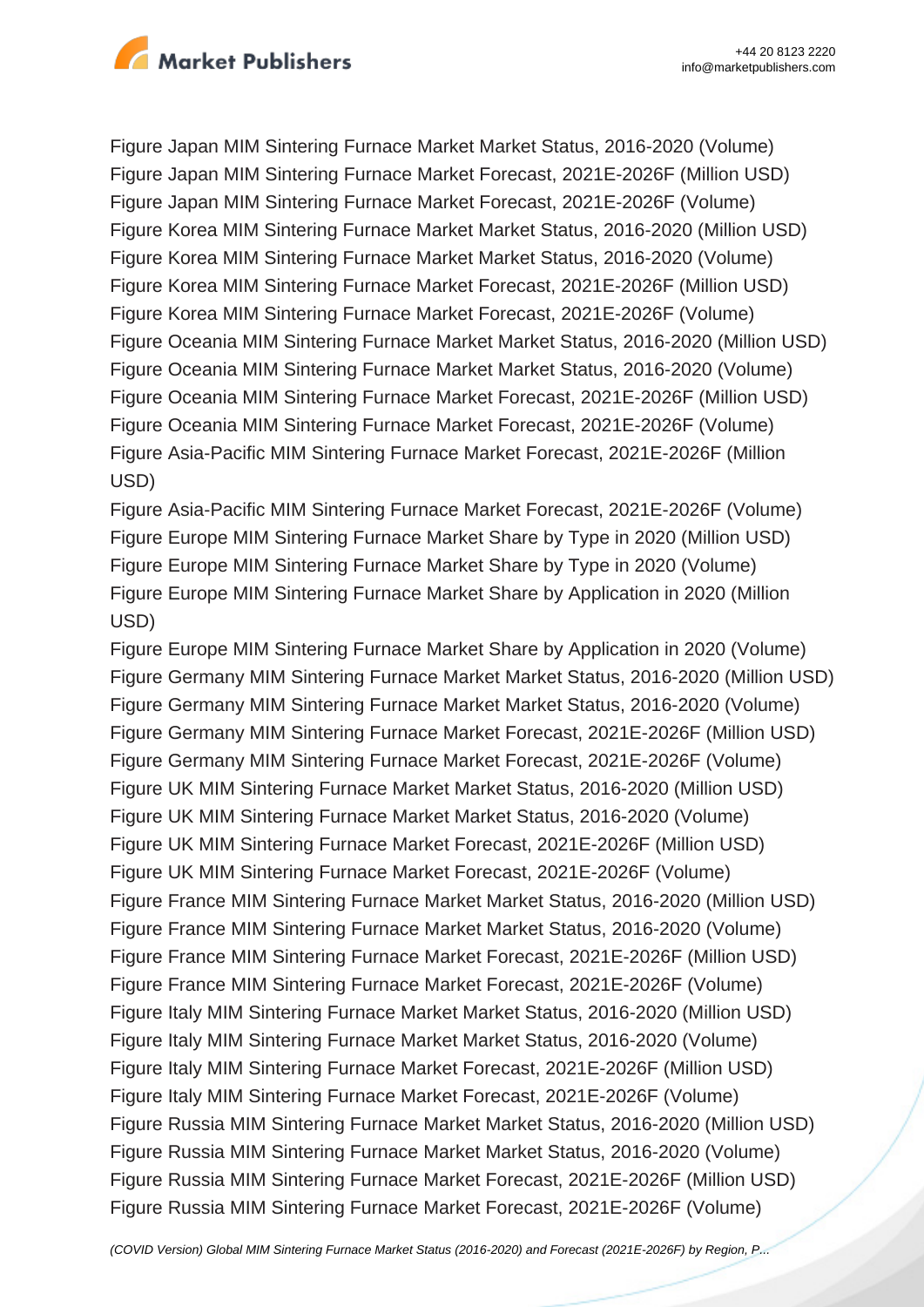

Figure Japan MIM Sintering Furnace Market Market Status, 2016-2020 (Volume) Figure Japan MIM Sintering Furnace Market Forecast, 2021E-2026F (Million USD) Figure Japan MIM Sintering Furnace Market Forecast, 2021E-2026F (Volume) Figure Korea MIM Sintering Furnace Market Market Status, 2016-2020 (Million USD) Figure Korea MIM Sintering Furnace Market Market Status, 2016-2020 (Volume) Figure Korea MIM Sintering Furnace Market Forecast, 2021E-2026F (Million USD) Figure Korea MIM Sintering Furnace Market Forecast, 2021E-2026F (Volume) Figure Oceania MIM Sintering Furnace Market Market Status, 2016-2020 (Million USD) Figure Oceania MIM Sintering Furnace Market Market Status, 2016-2020 (Volume) Figure Oceania MIM Sintering Furnace Market Forecast, 2021E-2026F (Million USD) Figure Oceania MIM Sintering Furnace Market Forecast, 2021E-2026F (Volume) Figure Asia-Pacific MIM Sintering Furnace Market Forecast, 2021E-2026F (Million USD)

Figure Asia-Pacific MIM Sintering Furnace Market Forecast, 2021E-2026F (Volume) Figure Europe MIM Sintering Furnace Market Share by Type in 2020 (Million USD) Figure Europe MIM Sintering Furnace Market Share by Type in 2020 (Volume) Figure Europe MIM Sintering Furnace Market Share by Application in 2020 (Million USD)

Figure Europe MIM Sintering Furnace Market Share by Application in 2020 (Volume) Figure Germany MIM Sintering Furnace Market Market Status, 2016-2020 (Million USD) Figure Germany MIM Sintering Furnace Market Market Status, 2016-2020 (Volume) Figure Germany MIM Sintering Furnace Market Forecast, 2021E-2026F (Million USD) Figure Germany MIM Sintering Furnace Market Forecast, 2021E-2026F (Volume) Figure UK MIM Sintering Furnace Market Market Status, 2016-2020 (Million USD) Figure UK MIM Sintering Furnace Market Market Status, 2016-2020 (Volume) Figure UK MIM Sintering Furnace Market Forecast, 2021E-2026F (Million USD) Figure UK MIM Sintering Furnace Market Forecast, 2021E-2026F (Volume) Figure France MIM Sintering Furnace Market Market Status, 2016-2020 (Million USD) Figure France MIM Sintering Furnace Market Market Status, 2016-2020 (Volume) Figure France MIM Sintering Furnace Market Forecast, 2021E-2026F (Million USD) Figure France MIM Sintering Furnace Market Forecast, 2021E-2026F (Volume) Figure Italy MIM Sintering Furnace Market Market Status, 2016-2020 (Million USD) Figure Italy MIM Sintering Furnace Market Market Status, 2016-2020 (Volume) Figure Italy MIM Sintering Furnace Market Forecast, 2021E-2026F (Million USD) Figure Italy MIM Sintering Furnace Market Forecast, 2021E-2026F (Volume) Figure Russia MIM Sintering Furnace Market Market Status, 2016-2020 (Million USD) Figure Russia MIM Sintering Furnace Market Market Status, 2016-2020 (Volume) Figure Russia MIM Sintering Furnace Market Forecast, 2021E-2026F (Million USD) Figure Russia MIM Sintering Furnace Market Forecast, 2021E-2026F (Volume)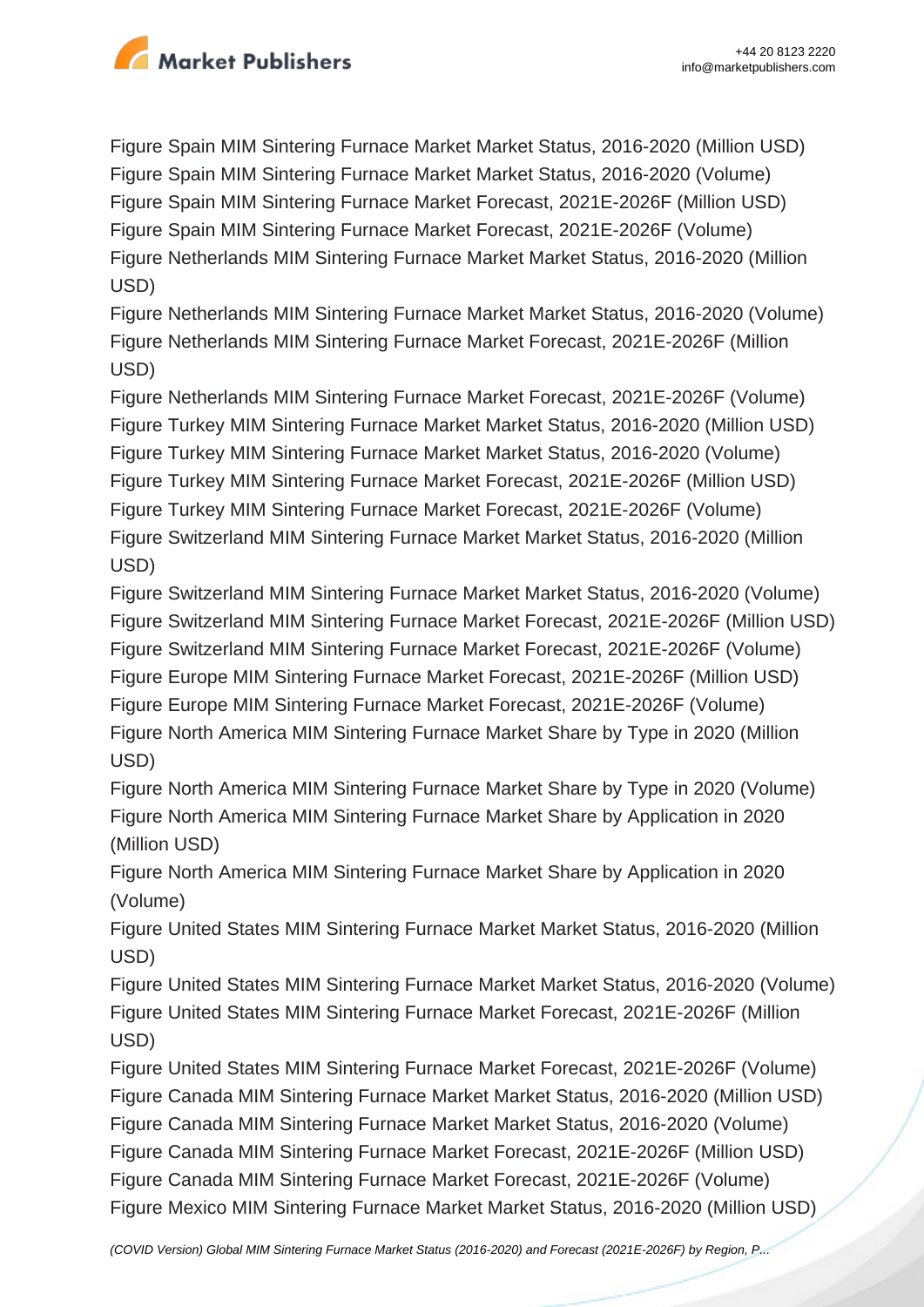

Figure Spain MIM Sintering Furnace Market Market Status, 2016-2020 (Million USD) Figure Spain MIM Sintering Furnace Market Market Status, 2016-2020 (Volume) Figure Spain MIM Sintering Furnace Market Forecast, 2021E-2026F (Million USD) Figure Spain MIM Sintering Furnace Market Forecast, 2021E-2026F (Volume) Figure Netherlands MIM Sintering Furnace Market Market Status, 2016-2020 (Million USD)

Figure Netherlands MIM Sintering Furnace Market Market Status, 2016-2020 (Volume) Figure Netherlands MIM Sintering Furnace Market Forecast, 2021E-2026F (Million USD)

Figure Netherlands MIM Sintering Furnace Market Forecast, 2021E-2026F (Volume) Figure Turkey MIM Sintering Furnace Market Market Status, 2016-2020 (Million USD) Figure Turkey MIM Sintering Furnace Market Market Status, 2016-2020 (Volume) Figure Turkey MIM Sintering Furnace Market Forecast, 2021E-2026F (Million USD) Figure Turkey MIM Sintering Furnace Market Forecast, 2021E-2026F (Volume) Figure Switzerland MIM Sintering Furnace Market Market Status, 2016-2020 (Million USD)

Figure Switzerland MIM Sintering Furnace Market Market Status, 2016-2020 (Volume) Figure Switzerland MIM Sintering Furnace Market Forecast, 2021E-2026F (Million USD) Figure Switzerland MIM Sintering Furnace Market Forecast, 2021E-2026F (Volume) Figure Europe MIM Sintering Furnace Market Forecast, 2021E-2026F (Million USD) Figure Europe MIM Sintering Furnace Market Forecast, 2021E-2026F (Volume) Figure North America MIM Sintering Furnace Market Share by Type in 2020 (Million USD)

Figure North America MIM Sintering Furnace Market Share by Type in 2020 (Volume) Figure North America MIM Sintering Furnace Market Share by Application in 2020 (Million USD)

Figure North America MIM Sintering Furnace Market Share by Application in 2020 (Volume)

Figure United States MIM Sintering Furnace Market Market Status, 2016-2020 (Million USD)

Figure United States MIM Sintering Furnace Market Market Status, 2016-2020 (Volume) Figure United States MIM Sintering Furnace Market Forecast, 2021E-2026F (Million USD)

Figure United States MIM Sintering Furnace Market Forecast, 2021E-2026F (Volume) Figure Canada MIM Sintering Furnace Market Market Status, 2016-2020 (Million USD) Figure Canada MIM Sintering Furnace Market Market Status, 2016-2020 (Volume) Figure Canada MIM Sintering Furnace Market Forecast, 2021E-2026F (Million USD) Figure Canada MIM Sintering Furnace Market Forecast, 2021E-2026F (Volume) Figure Mexico MIM Sintering Furnace Market Market Status, 2016-2020 (Million USD)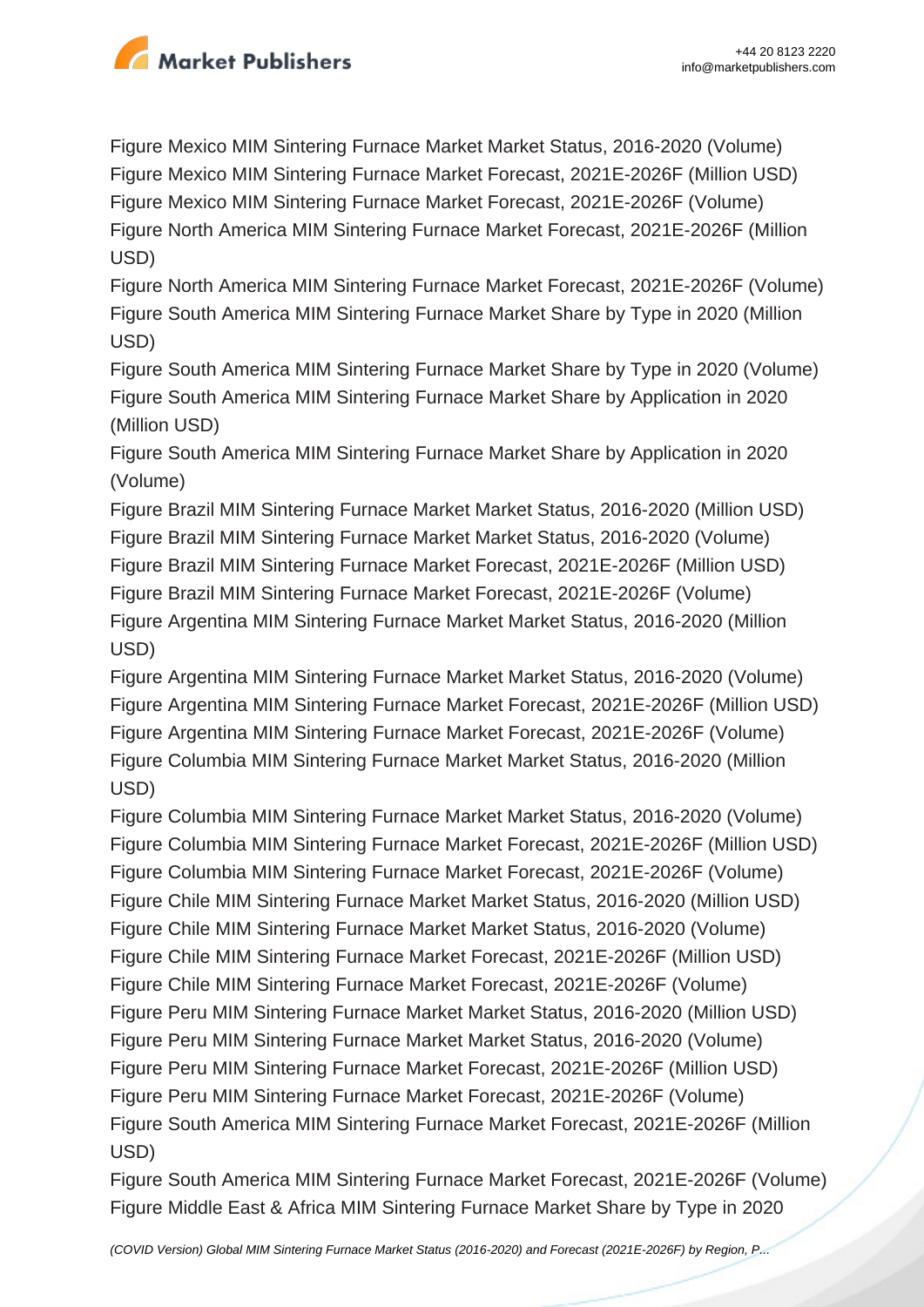

Figure Mexico MIM Sintering Furnace Market Market Status, 2016-2020 (Volume) Figure Mexico MIM Sintering Furnace Market Forecast, 2021E-2026F (Million USD) Figure Mexico MIM Sintering Furnace Market Forecast, 2021E-2026F (Volume) Figure North America MIM Sintering Furnace Market Forecast, 2021E-2026F (Million USD)

Figure North America MIM Sintering Furnace Market Forecast, 2021E-2026F (Volume) Figure South America MIM Sintering Furnace Market Share by Type in 2020 (Million USD)

Figure South America MIM Sintering Furnace Market Share by Type in 2020 (Volume) Figure South America MIM Sintering Furnace Market Share by Application in 2020 (Million USD)

Figure South America MIM Sintering Furnace Market Share by Application in 2020 (Volume)

Figure Brazil MIM Sintering Furnace Market Market Status, 2016-2020 (Million USD) Figure Brazil MIM Sintering Furnace Market Market Status, 2016-2020 (Volume) Figure Brazil MIM Sintering Furnace Market Forecast, 2021E-2026F (Million USD) Figure Brazil MIM Sintering Furnace Market Forecast, 2021E-2026F (Volume) Figure Argentina MIM Sintering Furnace Market Market Status, 2016-2020 (Million USD)

Figure Argentina MIM Sintering Furnace Market Market Status, 2016-2020 (Volume) Figure Argentina MIM Sintering Furnace Market Forecast, 2021E-2026F (Million USD) Figure Argentina MIM Sintering Furnace Market Forecast, 2021E-2026F (Volume) Figure Columbia MIM Sintering Furnace Market Market Status, 2016-2020 (Million USD)

Figure Columbia MIM Sintering Furnace Market Market Status, 2016-2020 (Volume) Figure Columbia MIM Sintering Furnace Market Forecast, 2021E-2026F (Million USD) Figure Columbia MIM Sintering Furnace Market Forecast, 2021E-2026F (Volume) Figure Chile MIM Sintering Furnace Market Market Status, 2016-2020 (Million USD) Figure Chile MIM Sintering Furnace Market Market Status, 2016-2020 (Volume) Figure Chile MIM Sintering Furnace Market Forecast, 2021E-2026F (Million USD) Figure Chile MIM Sintering Furnace Market Forecast, 2021E-2026F (Volume) Figure Peru MIM Sintering Furnace Market Market Status, 2016-2020 (Million USD) Figure Peru MIM Sintering Furnace Market Market Status, 2016-2020 (Volume) Figure Peru MIM Sintering Furnace Market Forecast, 2021E-2026F (Million USD) Figure Peru MIM Sintering Furnace Market Forecast, 2021E-2026F (Volume) Figure South America MIM Sintering Furnace Market Forecast, 2021E-2026F (Million USD)

Figure South America MIM Sintering Furnace Market Forecast, 2021E-2026F (Volume) Figure Middle East & Africa MIM Sintering Furnace Market Share by Type in 2020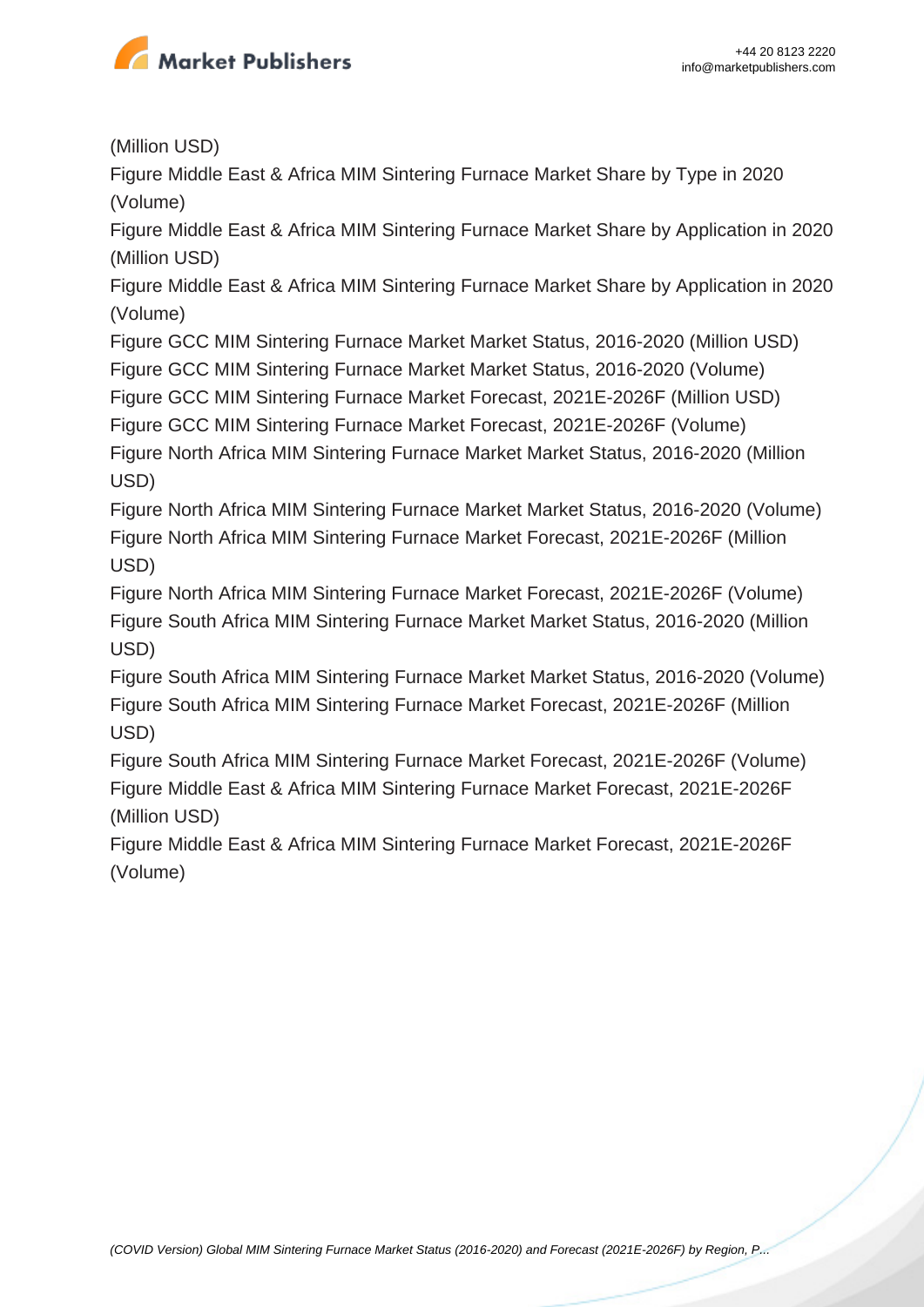

(Million USD)

Figure Middle East & Africa MIM Sintering Furnace Market Share by Type in 2020 (Volume)

Figure Middle East & Africa MIM Sintering Furnace Market Share by Application in 2020 (Million USD)

Figure Middle East & Africa MIM Sintering Furnace Market Share by Application in 2020 (Volume)

Figure GCC MIM Sintering Furnace Market Market Status, 2016-2020 (Million USD) Figure GCC MIM Sintering Furnace Market Market Status, 2016-2020 (Volume)

Figure GCC MIM Sintering Furnace Market Forecast, 2021E-2026F (Million USD)

Figure GCC MIM Sintering Furnace Market Forecast, 2021E-2026F (Volume)

Figure North Africa MIM Sintering Furnace Market Market Status, 2016-2020 (Million USD)

Figure North Africa MIM Sintering Furnace Market Market Status, 2016-2020 (Volume) Figure North Africa MIM Sintering Furnace Market Forecast, 2021E-2026F (Million USD)

Figure North Africa MIM Sintering Furnace Market Forecast, 2021E-2026F (Volume) Figure South Africa MIM Sintering Furnace Market Market Status, 2016-2020 (Million USD)

Figure South Africa MIM Sintering Furnace Market Market Status, 2016-2020 (Volume) Figure South Africa MIM Sintering Furnace Market Forecast, 2021E-2026F (Million USD)

Figure South Africa MIM Sintering Furnace Market Forecast, 2021E-2026F (Volume) Figure Middle East & Africa MIM Sintering Furnace Market Forecast, 2021E-2026F (Million USD)

Figure Middle East & Africa MIM Sintering Furnace Market Forecast, 2021E-2026F (Volume)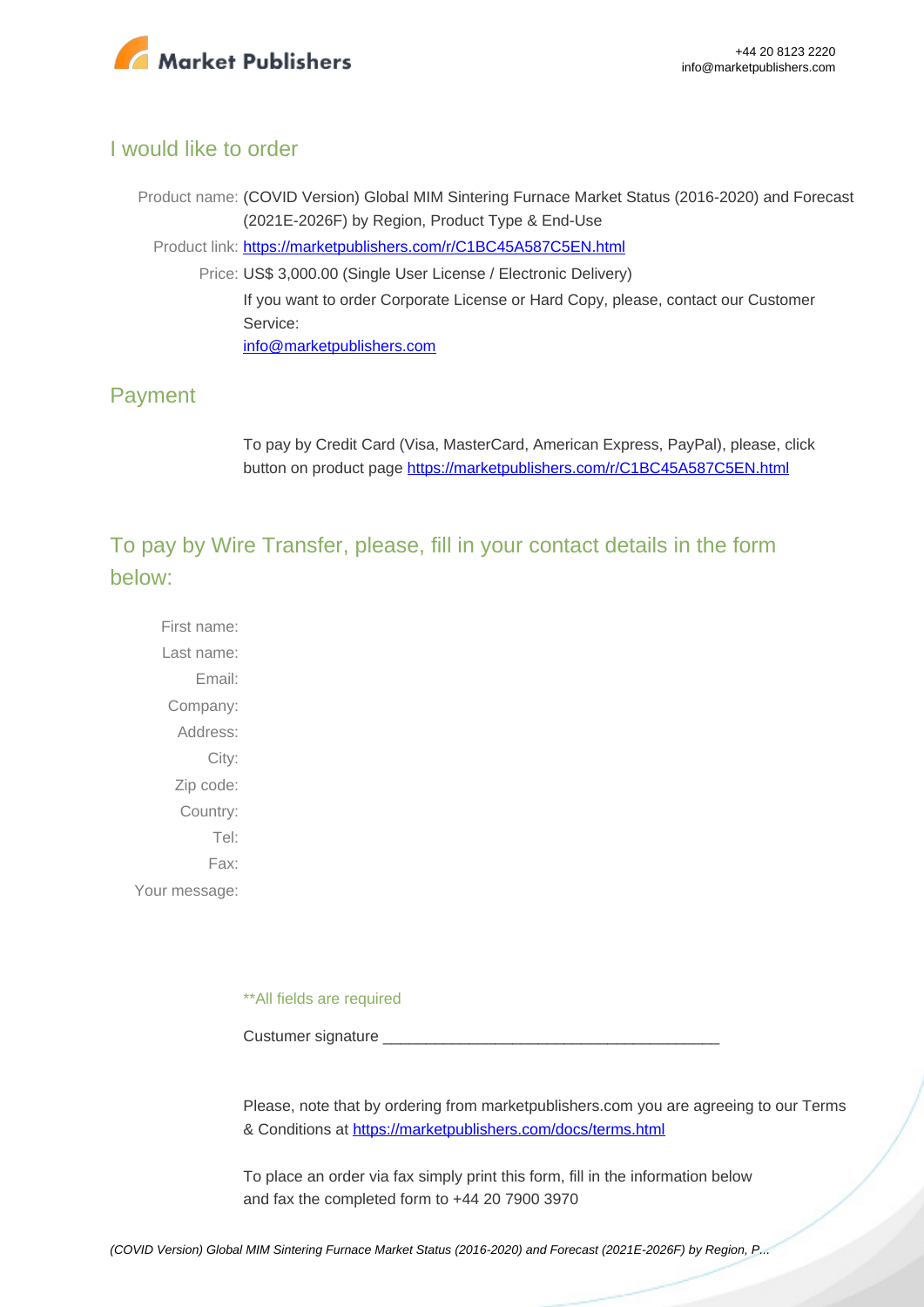

## I would like to order

Product name: (COVID Version) Global MIM Sintering Furnace Market Status (2016-2020) and Forecast (2021E-2026F) by Region, Product Type & End-Use Product link: [https://marketpublishers.com/r/C1BC45A587C5EN.html](https://marketpublishers.com/report/industry/other_industries/covid-version-global-mim-sintering-furnace-market-status-2016-2020-n-forecast-2021e-2026f-by-region-product-type-end-use.html) Price: US\$ 3,000.00 (Single User License / Electronic Delivery) If you want to order Corporate License or Hard Copy, please, contact our Customer Service: [info@marketpublishers.com](mailto:info@marketpublishers.com)

## Payment

To pay by Credit Card (Visa, MasterCard, American Express, PayPal), please, click button on product page [https://marketpublishers.com/r/C1BC45A587C5EN.html](https://marketpublishers.com/report/industry/other_industries/covid-version-global-mim-sintering-furnace-market-status-2016-2020-n-forecast-2021e-2026f-by-region-product-type-end-use.html)

To pay by Wire Transfer, please, fill in your contact details in the form below:

First name: Last name: Email: Company: Address: City: Zip code: Country: Tel: Fax: Your message:

\*\*All fields are required

Custumer signature

Please, note that by ordering from marketpublishers.com you are agreeing to our Terms & Conditions at<https://marketpublishers.com/docs/terms.html>

To place an order via fax simply print this form, fill in the information below and fax the completed form to +44 20 7900 3970